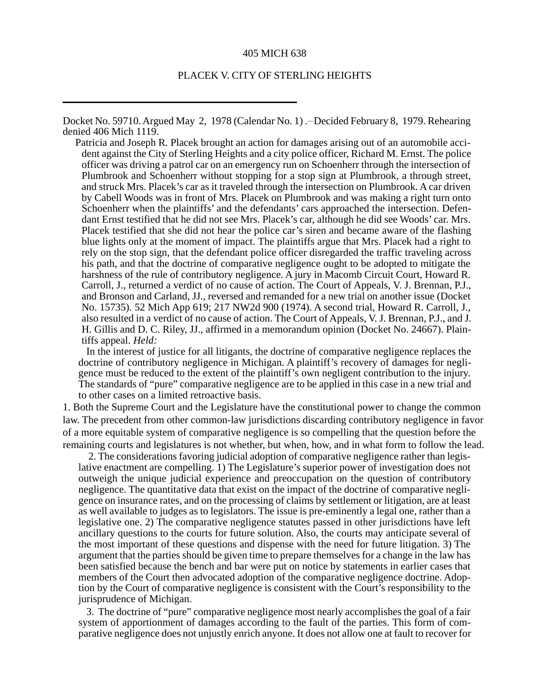#### 405 MICH 638

### PLACEK V. CITY OF STERLING HEIGHTS

Docket No. 59710. Argued May 2, 1978 (Calendar No. 1) .-Decided February 8, 1979. Rehearing denied 406 Mich 1119.

Patricia and Joseph R. Placek brought an action for damages arising out of an automobile accident against the City of Sterling Heights and a city police officer, Richard M. Ernst. The police officer was driving a patrol car on an emergency run on Schoenherr through the intersection of Plumbrook and Schoenherr without stopping for a stop sign at Plumbrook, a through street, and struck Mrs. Placek's car as it traveled through the intersection on Plumbrook. A car driven by Cabell Woods was in front of Mrs. Placek on Plumbrook and was making a right turn onto Schoenherr when the plaintiffs' and the defendants' cars approached the intersection. Defendant Ernst testified that he did not see Mrs. Placek's car, although he did see Woods' car. Mrs. Placek testified that she did not hear the police car's siren and became aware of the flashing blue lights only at the moment of impact. The plaintiffs argue that Mrs. Placek had a right to rely on the stop sign, that the defendant police officer disregarded the traffic traveling across his path, and that the doctrine of comparative negligence ought to be adopted to mitigate the harshness of the rule of contributory negligence. A jury in Macomb Circuit Court, Howard R. Carroll, J., returned a verdict of no cause of action. The Court of Appeals, V. J. Brennan, P.J., and Bronson and Carland, JJ., reversed and remanded for a new trial on another issue (Docket No. 15735). 52 Mich App 619; 217 NW2d 900 (1974). A second trial, Howard R. Carroll, J., also resulted in a verdict of no cause of action. The Court of Appeals, V. J. Brennan, P.J., and J. H. Gillis and D. C. Riley, JJ., affirmed in a memorandum opinion (Docket No. 24667). Plaintiffs appeal. *Held:*

In the interest of justice for all litigants, the doctrine of comparative negligence replaces the doctrine of contributory negligence in Michigan. A plaintiff's recovery of damages for negligence must be reduced to the extent of the plaintiff's own negligent contribution to the injury. The standards of "pure" comparative negligence are to be applied in this case in a new trial and to other cases on a limited retroactive basis.

1. Both the Supreme Court and the Legislature have the constitutional power to change the common law. The precedent from other common-law jurisdictions discarding contributory negligence in favor of a more equitable system of comparative negligence is so compelling that the question before the remaining courts and legislatures is not whether, but when, how, and in what form to follow the lead.

 2. The considerations favoring judicial adoption of comparative negligence rather than legislative enactment are compelling. 1) The Legislature's superior power of investigation does not outweigh the unique judicial experience and preoccupation on the question of contributory negligence. The quantitative data that exist on the impact of the doctrine of comparative negligence on insurance rates, and on the processing of claims by settlement or litigation, are at least as well available to judges as to legislators. The issue is pre-eminently a legal one, rather than a legislative one. 2) The comparative negligence statutes passed in other jurisdictions have left ancillary questions to the courts for future solution. Also, the courts may anticipate several of the most important of these questions and dispense with the need for future litigation. 3) The argument that the parties should be given time to prepare themselves for a change in the law has been satisfied because the bench and bar were put on notice by statements in earlier cases that members of the Court then advocated adoption of the comparative negligence doctrine. Adoption by the Court of comparative negligence is consistent with the Court's responsibility to the jurisprudence of Michigan.

3. The doctrine of "pure" comparative negligence most nearly accomplishes the goal of a fair system of apportionment of damages according to the fault of the parties. This form of comparative negligence does not unjustly enrich anyone. It does not allow one at fault to recover for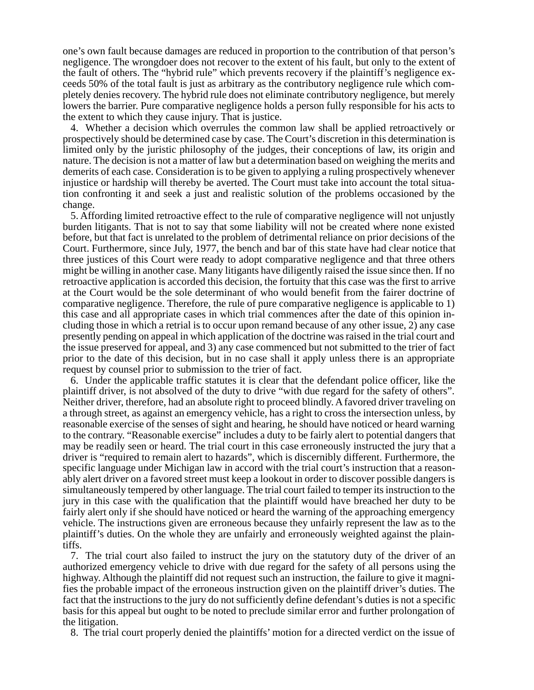one's own fault because damages are reduced in proportion to the contribution of that person's negligence. The wrongdoer does not recover to the extent of his fault, but only to the extent of the fault of others. The "hybrid rule" which prevents recovery if the plaintiff's negligence exceeds 50% of the total fault is just as arbitrary as the contributory negligence rule which completely denies recovery. The hybrid rule does not eliminate contributory negligence, but merely lowers the barrier. Pure comparative negligence holds a person fully responsible for his acts to the extent to which they cause injury. That is justice.

4. Whether a decision which overrules the common law shall be applied retroactively or prospectively should be determined case by case. The Court's discretion in this determination is limited only by the juristic philosophy of the judges, their conceptions of law, its origin and nature. The decision is not a matter of law but a determination based on weighing the merits and demerits of each case. Consideration is to be given to applying a ruling prospectively whenever injustice or hardship will thereby be averted. The Court must take into account the total situation confronting it and seek a just and realistic solution of the problems occasioned by the change.

5. Affording limited retroactive effect to the rule of comparative negligence will not unjustly burden litigants. That is not to say that some liability will not be created where none existed before, but that fact is unrelated to the problem of detrimental reliance on prior decisions of the Court. Furthermore, since July, 1977, the bench and bar of this state have had clear notice that three justices of this Court were ready to adopt comparative negligence and that three others might be willing in another case. Many litigants have diligently raised the issue since then. If no retroactive application is accorded this decision, the fortuity that this case was the first to arrive at the Court would be the sole determinant of who would benefit from the fairer doctrine of comparative negligence. Therefore, the rule of pure comparative negligence is applicable to 1) this case and all appropriate cases in which trial commences after the date of this opinion including those in which a retrial is to occur upon remand because of any other issue, 2) any case presently pending on appeal in which application of the doctrine was raised in the trial court and the issue preserved for appeal, and 3) any case commenced but not submitted to the trier of fact prior to the date of this decision, but in no case shall it apply unless there is an appropriate request by counsel prior to submission to the trier of fact.

6. Under the applicable traffic statutes it is clear that the defendant police officer, like the plaintiff driver, is not absolved of the duty to drive "with due regard for the safety of others". Neither driver, therefore, had an absolute right to proceed blindly. A favored driver traveling on a through street, as against an emergency vehicle, has a right to cross the intersection unless, by reasonable exercise of the senses of sight and hearing, he should have noticed or heard warning to the contrary. "Reasonable exercise" includes a duty to be fairly alert to potential dangers that may be readily seen or heard. The trial court in this case erroneously instructed the jury that a driver is "required to remain alert to hazards", which is discernibly different. Furthermore, the specific language under Michigan law in accord with the trial court's instruction that a reasonably alert driver on a favored street must keep a lookout in order to discover possible dangers is simultaneously tempered by other language. The trial court failed to temper its instruction to the jury in this case with the qualification that the plaintiff would have breached her duty to be fairly alert only if she should have noticed or heard the warning of the approaching emergency vehicle. The instructions given are erroneous because they unfairly represent the law as to the plaintiff's duties. On the whole they are unfairly and erroneously weighted against the plaintiffs.

7. The trial court also failed to instruct the jury on the statutory duty of the driver of an authorized emergency vehicle to drive with due regard for the safety of all persons using the highway. Although the plaintiff did not request such an instruction, the failure to give it magnifies the probable impact of the erroneous instruction given on the plaintiff driver's duties. The fact that the instructions to the jury do not sufficiently define defendant's duties is not a specific basis for this appeal but ought to be noted to preclude similar error and further prolongation of the litigation.

8. The trial court properly denied the plaintiffs' motion for a directed verdict on the issue of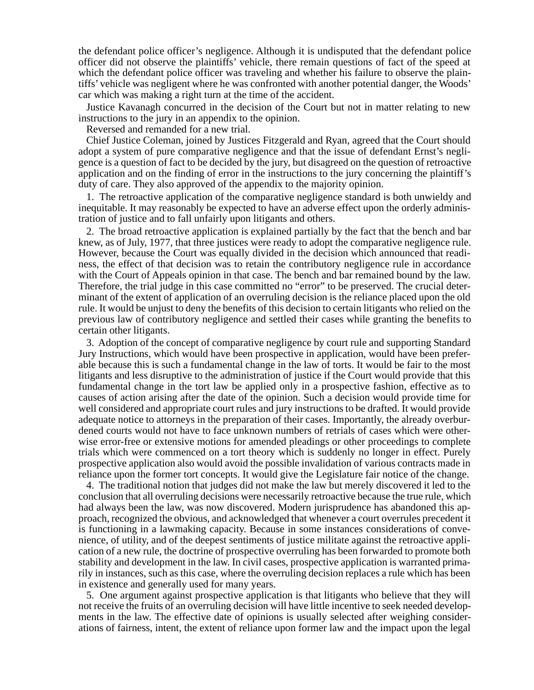the defendant police officer's negligence. Although it is undisputed that the defendant police officer did not observe the plaintiffs' vehicle, there remain questions of fact of the speed at which the defendant police officer was traveling and whether his failure to observe the plaintiffs' vehicle was negligent where he was confronted with another potential danger, the Woods' car which was making a right turn at the time of the accident.

Justice Kavanagh concurred in the decision of the Court but not in matter relating to new instructions to the jury in an appendix to the opinion.

Reversed and remanded for a new trial.

Chief Justice Coleman, joined by Justices Fitzgerald and Ryan, agreed that the Court should adopt a system of pure comparative negligence and that the issue of defendant Ernst's negligence is a question of fact to be decided by the jury, but disagreed on the question of retroactive application and on the finding of error in the instructions to the jury concerning the plaintiff's duty of care. They also approved of the appendix to the majority opinion.

1. The retroactive application of the comparative negligence standard is both unwieldy and inequitable. It may reasonably be expected to have an adverse effect upon the orderly administration of justice and to fall unfairly upon litigants and others.

2. The broad retroactive application is explained partially by the fact that the bench and bar knew, as of July, 1977, that three justices were ready to adopt the comparative negligence rule. However, because the Court was equally divided in the decision which announced that readiness, the effect of that decision was to retain the contributory negligence rule in accordance with the Court of Appeals opinion in that case. The bench and bar remained bound by the law. Therefore, the trial judge in this case committed no "error" to be preserved. The crucial determinant of the extent of application of an overruling decision is the reliance placed upon the old rule. It would be unjust to deny the benefits of this decision to certain litigants who relied on the previous law of contributory negligence and settled their cases while granting the benefits to certain other litigants.

3. Adoption of the concept of comparative negligence by court rule and supporting Standard Jury Instructions, which would have been prospective in application, would have been preferable because this is such a fundamental change in the law of torts. It would be fair to the most litigants and less disruptive to the administration of justice if the Court would provide that this fundamental change in the tort law be applied only in a prospective fashion, effective as to causes of action arising after the date of the opinion. Such a decision would provide time for well considered and appropriate court rules and jury instructions to be drafted. It would provide adequate notice to attorneys in the preparation of their cases. Importantly, the already overburdened courts would not have to face unknown numbers of retrials of cases which were otherwise error-free or extensive motions for amended pleadings or other proceedings to complete trials which were commenced on a tort theory which is suddenly no longer in effect. Purely prospective application also would avoid the possible invalidation of various contracts made in reliance upon the former tort concepts. It would give the Legislature fair notice of the change.

4. The traditional notion that judges did not make the law but merely discovered it led to the conclusion that all overruling decisions were necessarily retroactive because the true rule, which had always been the law, was now discovered. Modern jurisprudence has abandoned this approach, recognized the obvious, and acknowledged that whenever a court overrules precedent it is functioning in a lawmaking capacity. Because in some instances considerations of convenience, of utility, and of the deepest sentiments of justice militate against the retroactive application of a new rule, the doctrine of prospective overruling has been forwarded to promote both stability and development in the law. In civil cases, prospective application is warranted primarily in instances, such as this case, where the overruling decision replaces a rule which has been in existence and generally used for many years.

5. One argument against prospective application is that litigants who believe that they will not receive the fruits of an overruling decision will have little incentive to seek needed developments in the law. The effective date of opinions is usually selected after weighing considerations of fairness, intent, the extent of reliance upon former law and the impact upon the legal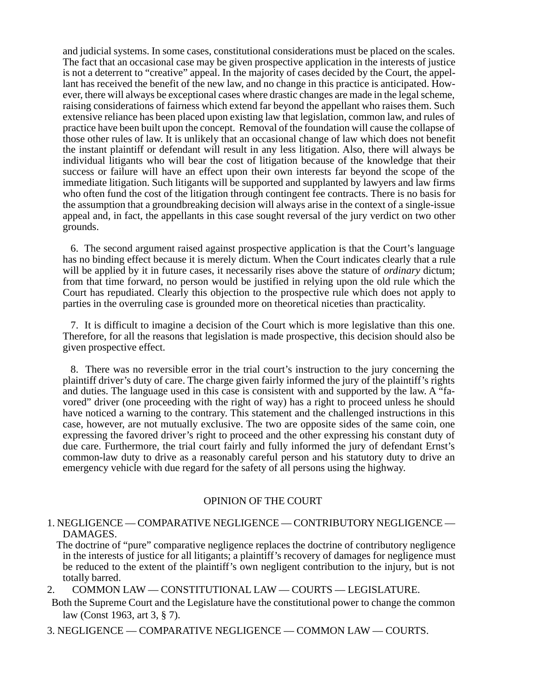and judicial systems. In some cases, constitutional considerations must be placed on the scales. The fact that an occasional case may be given prospective application in the interests of justice is not a deterrent to "creative" appeal. In the majority of cases decided by the Court, the appellant has received the benefit of the new law, and no change in this practice is anticipated. However, there will always be exceptional cases where drastic changes are made in the legal scheme, raising considerations of fairness which extend far beyond the appellant who raises them. Such extensive reliance has been placed upon existing law that legislation, common law, and rules of practice have been built upon the concept. Removal of the foundation will cause the collapse of those other rules of law. It is unlikely that an occasional change of law which does not benefit the instant plaintiff or defendant will result in any less litigation. Also, there will always be individual litigants who will bear the cost of litigation because of the knowledge that their success or failure will have an effect upon their own interests far beyond the scope of the immediate litigation. Such litigants will be supported and supplanted by lawyers and law firms who often fund the cost of the litigation through contingent fee contracts. There is no basis for the assumption that a groundbreaking decision will always arise in the context of a single-issue appeal and, in fact, the appellants in this case sought reversal of the jury verdict on two other grounds.

6. The second argument raised against prospective application is that the Court's language has no binding effect because it is merely dictum. When the Court indicates clearly that a rule will be applied by it in future cases, it necessarily rises above the stature of *ordinary* dictum; from that time forward, no person would be justified in relying upon the old rule which the Court has repudiated. Clearly this objection to the prospective rule which does not apply to parties in the overruling case is grounded more on theoretical niceties than practicality.

7. It is difficult to imagine a decision of the Court which is more legislative than this one. Therefore, for all the reasons that legislation is made prospective, this decision should also be given prospective effect.

8. There was no reversible error in the trial court's instruction to the jury concerning the plaintiff driver's duty of care. The charge given fairly informed the jury of the plaintiff's rights and duties. The language used in this case is consistent with and supported by the law. A "favored" driver (one proceeding with the right of way) has a right to proceed unless he should have noticed a warning to the contrary. This statement and the challenged instructions in this case, however, are not mutually exclusive. The two are opposite sides of the same coin, one expressing the favored driver's right to proceed and the other expressing his constant duty of due care. Furthermore, the trial court fairly and fully informed the jury of defendant Ernst's common-law duty to drive as a reasonably careful person and his statutory duty to drive an emergency vehicle with due regard for the safety of all persons using the highway.

## OPINION OF THE COURT

- 1. NEGLIGENCE COMPARATIVE NEGLIGENCE CONTRIBUTORY NEGLIGENCE DAMAGES.
	- The doctrine of "pure" comparative negligence replaces the doctrine of contributory negligence in the interests of justice for all litigants; a plaintiff's recovery of damages for negligence must be reduced to the extent of the plaintiff's own negligent contribution to the injury, but is not totally barred.
- 2. COMMON LAW CONSTITUTIONAL LAW COURTS LEGISLATURE.
- Both the Supreme Court and the Legislature have the constitutional power to change the common law (Const 1963, art 3, § 7).
- 3. NEGLIGENCE COMPARATIVE NEGLIGENCE COMMON LAW COURTS.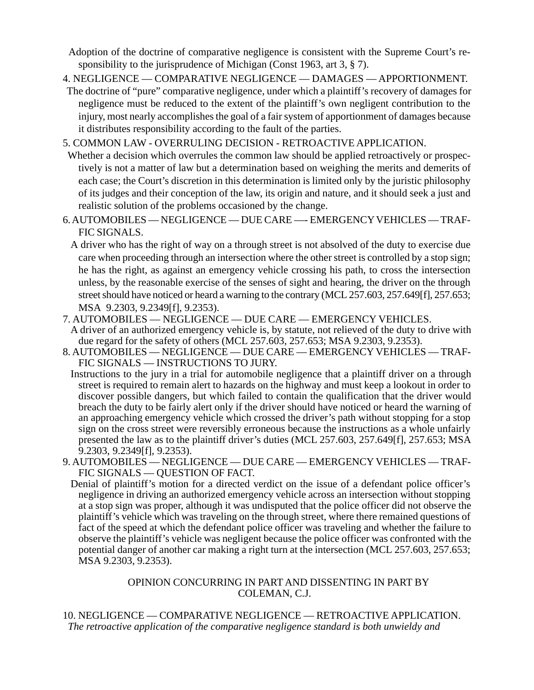Adoption of the doctrine of comparative negligence is consistent with the Supreme Court's responsibility to the jurisprudence of Michigan (Const 1963, art 3, § 7).

- 4. NEGLIGENCE COMPARATIVE NEGLIGENCE DAMAGES APPORTIONMENT.
- The doctrine of "pure" comparative negligence, under which a plaintiff's recovery of damages for negligence must be reduced to the extent of the plaintiff's own negligent contribution to the injury, most nearly accomplishes the goal of a fair system of apportionment of damages because it distributes responsibility according to the fault of the parties.

5. COMMON LAW - OVERRULING DECISION - RETROACTIVE APPLICATION.

- Whether a decision which overrules the common law should be applied retroactively or prospectively is not a matter of law but a determination based on weighing the merits and demerits of each case; the Court's discretion in this determination is limited only by the juristic philosophy of its judges and their conception of the law, its origin and nature, and it should seek a just and realistic solution of the problems occasioned by the change.
- 6. AUTOMOBILES NEGLIGENCE DUE CARE —- EMERGENCY VEHICLES TRAF-FIC SIGNALS.
	- A driver who has the right of way on a through street is not absolved of the duty to exercise due care when proceeding through an intersection where the other street is controlled by a stop sign; he has the right, as against an emergency vehicle crossing his path, to cross the intersection unless, by the reasonable exercise of the senses of sight and hearing, the driver on the through street should have noticed or heard a warning to the contrary (MCL 257.603, 257.649[f], 257.653; MSA 9.2303, 9.2349[f], 9.2353).
- 7. AUTOMOBILES NEGLIGENCE DUE CARE EMERGENCY VEHICLES.
- A driver of an authorized emergency vehicle is, by statute, not relieved of the duty to drive with due regard for the safety of others (MCL 257.603, 257.653; MSA 9.2303, 9.2353).
- 8. AUTOMOBILES NEGLIGENCE DUE CARE EMERGENCY VEHICLES TRAF-FIC SIGNALS — INSTRUCTIONS TO JURY.
- Instructions to the jury in a trial for automobile negligence that a plaintiff driver on a through street is required to remain alert to hazards on the highway and must keep a lookout in order to discover possible dangers, but which failed to contain the qualification that the driver would breach the duty to be fairly alert only if the driver should have noticed or heard the warning of an approaching emergency vehicle which crossed the driver's path without stopping for a stop sign on the cross street were reversibly erroneous because the instructions as a whole unfairly presented the law as to the plaintiff driver's duties (MCL 257.603, 257.649[f], 257.653; MSA 9.2303, 9.2349[f], 9.2353).
- 9. AUTOMOBILES NEGLIGENCE DUE CARE EMERGENCY VEHICLES TRAF-FIC SIGNALS — QUESTION OF FACT.
	- Denial of plaintiff's motion for a directed verdict on the issue of a defendant police officer's negligence in driving an authorized emergency vehicle across an intersection without stopping at a stop sign was proper, although it was undisputed that the police officer did not observe the plaintiff's vehicle which was traveling on the through street, where there remained questions of fact of the speed at which the defendant police officer was traveling and whether the failure to observe the plaintiff's vehicle was negligent because the police officer was confronted with the potential danger of another car making a right turn at the intersection (MCL 257.603, 257.653; MSA 9.2303, 9.2353).

# OPINION CONCURRING IN PART AND DISSENTING IN PART BY COLEMAN, C.J.

10. NEGLIGENCE — COMPARATIVE NEGLIGENCE — RETROACTIVE APPLICATION.  *The retroactive application of the comparative negligence standard is both unwieldy and*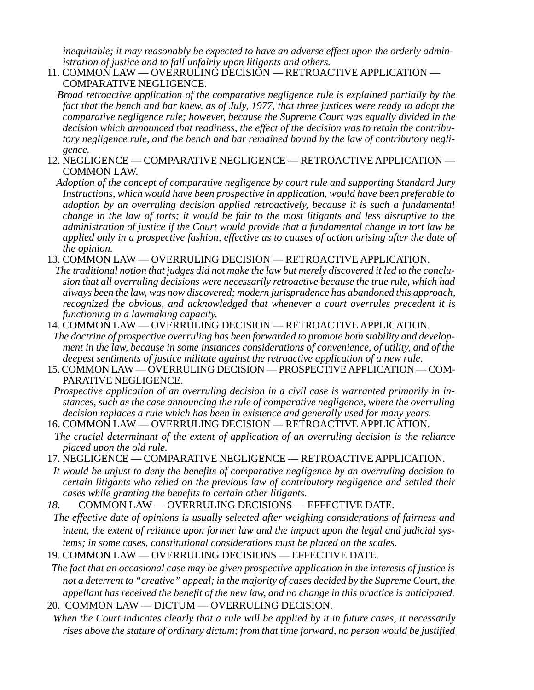*inequitable; it may reasonably be expected to have an adverse effect upon the orderly administration of justice and to fall unfairly upon litigants and others.*

11. COMMON LAW — OVERRULING DECISION — RETROACTIVE APPLICATION — COMPARATIVE NEGLIGENCE.

 *Broad retroactive application of the comparative negligence rule is explained partially by the fact that the bench and bar knew, as of July, 1977, that three justices were ready to adopt the comparative negligence rule; however, because the Supreme Court was equally divided in the decision which announced that readiness, the effect of the decision was to retain the contributory negligence rule, and the bench and bar remained bound by the law of contributory negligence.*

- 12. NEGLIGENCE COMPARATIVE NEGLIGENCE RETROACTIVE APPLICATION COMMON LAW.
	- *Adoption of the concept of comparative negligence by court rule and supporting Standard Jury Instructions, which would have been prospective in application, would have been preferable to adoption by an overruling decision applied retroactively, because it is such a fundamental change in the law of torts; it would be fair to the most litigants and less disruptive to the administration of justice if the Court would provide that a fundamental change in tort law be applied only in a prospective fashion, effective as to causes of action arising after the date of the opinion.*
- 13. COMMON LAW OVERRULING DECISION RETROACTIVE APPLICATION.
- *The traditional notion that judges did not make the law but merely discovered it led to the conclusion that all overruling decisions were necessarily retroactive because the true rule, which had always been the law, was now discovered; modern jurisprudence has abandoned this approach, recognized the obvious, and acknowledged that whenever a court overrules precedent it is functioning in a lawmaking capacity.*
- 14. COMMON LAW OVERRULING DECISION RETROACTIVE APPLICATION.  *The doctrine of prospective overruling has been forwarded to promote both stability and development in the law, because in some instances considerations of convenience, of utility, and of the deepest sentiments of justice militate against the retroactive application of a new rule.*
- 15. COMMON LAW OVERRULING DECISION PROSPECTIVE APPLICATION COM-PARATIVE NEGLIGENCE.

 *Prospective application of an overruling decision in a civil case is warranted primarily in instances, such as the case announcing the rule of comparative negligence, where the overruling decision replaces a rule which has been in existence and generally used for many years.*

- 16. COMMON LAW OVERRULING DECISION RETROACTIVE APPLICATION.  *The crucial determinant of the extent of application of an overruling decision is the reliance placed upon the old rule.*
- 17. NEGLIGENCE COMPARATIVE NEGLIGENCE RETROACTIVE APPLICATION.
- *It would be unjust to deny the benefits of comparative negligence by an overruling decision to certain litigants who relied on the previous law of contributory negligence and settled their cases while granting the benefits to certain other litigants.*
- *18.* COMMON LAW OVERRULING DECISIONS EFFECTIVE DATE.
- *The effective date of opinions is usually selected after weighing considerations of fairness and intent, the extent of reliance upon former law and the impact upon the legal and judicial systems; in some cases, constitutional considerations must be placed on the scales.*
- 19. COMMON LAW OVERRULING DECISIONS EFFECTIVE DATE.
- *The fact that an occasional case may be given prospective application in the interests of justice is not a deterrent to "creative" appeal; in the majority of cases decided by the Supreme Court, the appellant has received the benefit of the new law, and no change in this practice is anticipated.* 20. COMMON LAW — DICTUM — OVERRULING DECISION.
- *When the Court indicates clearly that a rule will be applied by it in future cases, it necessarily rises above the stature of ordinary dictum; from that time forward, no person would be justified*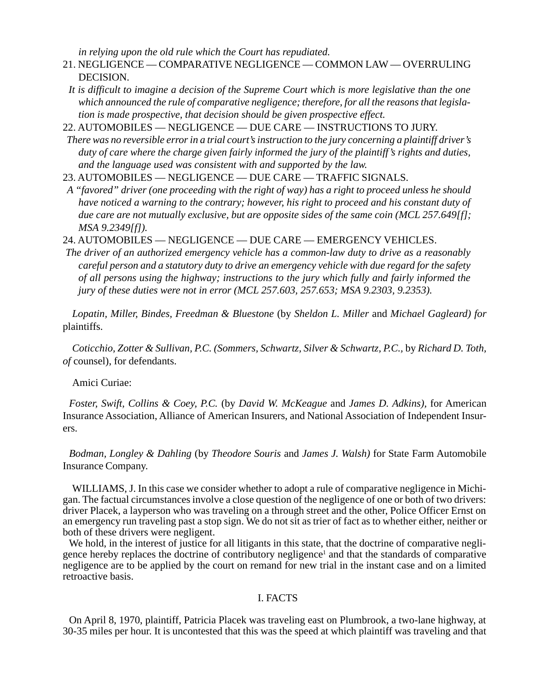*in relying upon the old rule which the Court has repudiated.*

- 21. NEGLIGENCE COMPARATIVE NEGLIGENCE COMMON LAW OVERRULING DECISION.
- *It is difficult to imagine a decision of the Supreme Court which is more legislative than the one which announced the rule of comparative negligence; therefore, for all the reasons that legislation is made prospective, that decision should be given prospective effect.*

22. AUTOMOBILES — NEGLIGENCE — DUE CARE — INSTRUCTIONS TO JURY.

 *There was no reversible error in a trial court's instruction to the jury concerning a plaintiff driver's duty of care where the charge given fairly informed the jury of the plaintiff's rights and duties, and the language used was consistent with and supported by the law.*

- 23. AUTOMOBILES NEGLIGENCE DUE CARE TRAFFIC SIGNALS.
- *A "favored" driver (one proceeding with the right of way) has a right to proceed unless he should have noticed a warning to the contrary; however, his right to proceed and his constant duty of due care are not mutually exclusive, but are opposite sides of the same coin (MCL 257.649[f]; MSA 9.2349[f]).*

24. AUTOMOBILES — NEGLIGENCE — DUE CARE — EMERGENCY VEHICLES.

 *The driver of an authorized emergency vehicle has a common-law duty to drive as a reasonably careful person and a statutory duty to drive an emergency vehicle with due regard for the safety of all persons using the highway; instructions to the jury which fully and fairly informed the jury of these duties were not in error (MCL 257.603, 257.653; MSA 9.2303, 9.2353).*

*Lopatin, Miller, Bindes, Freedman & Bluestone* (by *Sheldon L. Miller* and *Michael Gagleard) for* plaintiffs.

*Coticchio, Zotter & Sullivan, P.C. (Sommers, Schwartz, Silver & Schwartz, P.C.,* by *Richard D. Toth, of* counsel), for defendants.

## Amici Curiae:

*Foster, Swift, Collins & Coey, P.C.* (by *David W. McKeague* and *James D. Adkins),* for American Insurance Association, Alliance of American Insurers, and National Association of Independent Insurers.

*Bodman, Longley & Dahling* (by *Theodore Souris* and *James J. Walsh)* for State Farm Automobile Insurance Company.

WILLIAMS, J. In this case we consider whether to adopt a rule of comparative negligence in Michigan. The factual circumstances involve a close question of the negligence of one or both of two drivers: driver Placek, a layperson who was traveling on a through street and the other, Police Officer Ernst on an emergency run traveling past a stop sign. We do not sit as trier of fact as to whether either, neither or both of these drivers were negligent.

We hold, in the interest of justice for all litigants in this state, that the doctrine of comparative negligence hereby replaces the doctrine of contributory negligence<sup>1</sup> and that the standards of comparative negligence are to be applied by the court on remand for new trial in the instant case and on a limited retroactive basis.

### I. FACTS

On April 8, 1970, plaintiff, Patricia Placek was traveling east on Plumbrook, a two-lane highway, at 30-35 miles per hour. It is uncontested that this was the speed at which plaintiff was traveling and that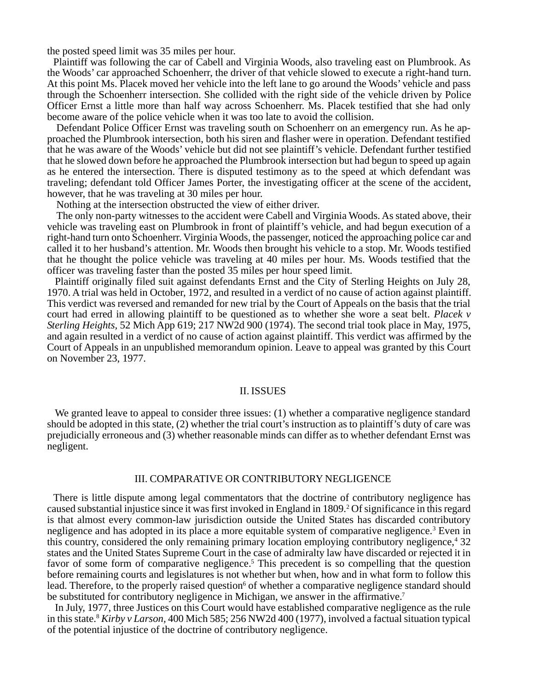the posted speed limit was 35 miles per hour.

Plaintiff was following the car of Cabell and Virginia Woods, also traveling east on Plumbrook. As the Woods' car approached Schoenherr, the driver of that vehicle slowed to execute a right-hand turn. At this point Ms. Placek moved her vehicle into the left lane to go around the Woods' vehicle and pass through the Schoenherr intersection. She collided with the right side of the vehicle driven by Police Officer Ernst a little more than half way across Schoenherr. Ms. Placek testified that she had only become aware of the police vehicle when it was too late to avoid the collision.

Defendant Police Officer Ernst was traveling south on Schoenherr on an emergency run. As he approached the Plumbrook intersection, both his siren and flasher were in operation. Defendant testified that he was aware of the Woods' vehicle but did not see plaintiff's vehicle. Defendant further testified that he slowed down before he approached the Plumbrook intersection but had begun to speed up again as he entered the intersection. There is disputed testimony as to the speed at which defendant was traveling; defendant told Officer James Porter, the investigating officer at the scene of the accident, however, that he was traveling at 30 miles per hour.

Nothing at the intersection obstructed the view of either driver.

The only non-party witnesses to the accident were Cabell and Virginia Woods. As stated above, their vehicle was traveling east on Plumbrook in front of plaintiff's vehicle, and had begun execution of a right-hand turn onto Schoenherr. Virginia Woods, the passenger, noticed the approaching police car and called it to her husband's attention. Mr. Woods then brought his vehicle to a stop. Mr. Woods testified that he thought the police vehicle was traveling at 40 miles per hour. Ms. Woods testified that the officer was traveling faster than the posted 35 miles per hour speed limit.

Plaintiff originally filed suit against defendants Ernst and the City of Sterling Heights on July 28, 1970. A trial was held in October, 1972, and resulted in a verdict of no cause of action against plaintiff. This verdict was reversed and remanded for new trial by the Court of Appeals on the basis that the trial court had erred in allowing plaintiff to be questioned as to whether she wore a seat belt. *Placek v Sterling Heights,* 52 Mich App 619; 217 NW2d 900 (1974). The second trial took place in May, 1975, and again resulted in a verdict of no cause of action against plaintiff. This verdict was affirmed by the Court of Appeals in an unpublished memorandum opinion. Leave to appeal was granted by this Court on November 23, 1977.

#### II. ISSUES

We granted leave to appeal to consider three issues: (1) whether a comparative negligence standard should be adopted in this state, (2) whether the trial court's instruction as to plaintiff's duty of care was prejudicially erroneous and (3) whether reasonable minds can differ as to whether defendant Ernst was negligent.

### III. COMPARATIVE OR CONTRIBUTORY NEGLIGENCE

There is little dispute among legal commentators that the doctrine of contributory negligence has caused substantial injustice since it was first invoked in England in 1809.<sup>2</sup> Of significance in this regard is that almost every common-law jurisdiction outside the United States has discarded contributory negligence and has adopted in its place a more equitable system of comparative negligence.<sup>3</sup> Even in this country, considered the only remaining primary location employing contributory negligence,<sup>4</sup> 32 states and the United States Supreme Court in the case of admiralty law have discarded or rejected it in favor of some form of comparative negligence.<sup>5</sup> This precedent is so compelling that the question before remaining courts and legislatures is not whether but when, how and in what form to follow this lead. Therefore, to the properly raised question<sup>6</sup> of whether a comparative negligence standard should be substituted for contributory negligence in Michigan, we answer in the affirmative.<sup>7</sup>

In July, 1977, three Justices on this Court would have established comparative negligence as the rule in this state.8 *Kirby v Larson,* 400 Mich 585; 256 NW2d 400 (1977), involved a factual situation typical of the potential injustice of the doctrine of contributory negligence.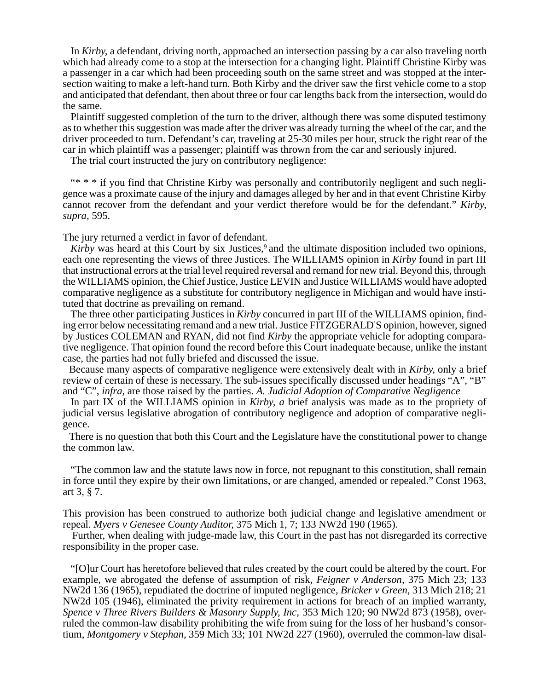In *Kirby,* a defendant, driving north, approached an intersection passing by a car also traveling north which had already come to a stop at the intersection for a changing light. Plaintiff Christine Kirby was a passenger in a car which had been proceeding south on the same street and was stopped at the intersection waiting to make a left-hand turn. Both Kirby and the driver saw the first vehicle come to a stop and anticipated that defendant, then about three or four car lengths back from the intersection, would do the same.

Plaintiff suggested completion of the turn to the driver, although there was some disputed testimony as to whether this suggestion was made after the driver was already turning the wheel of the car, and the driver proceeded to turn. Defendant's car, traveling at 25-30 miles per hour, struck the right rear of the car in which plaintiff was a passenger; plaintiff was thrown from the car and seriously injured.

The trial court instructed the jury on contributory negligence:

"\* \* \* if you find that Christine Kirby was personally and contributorily negligent and such negligence was a proximate cause of the injury and damages alleged by her and in that event Christine Kirby cannot recover from the defendant and your verdict therefore would be for the defendant." *Kirby, supra,* 595.

The jury returned a verdict in favor of defendant.

*Kirby* was heard at this Court by six Justices,<sup>9</sup> and the ultimate disposition included two opinions, each one representing the views of three Justices. The WILLIAMS opinion in *Kirby* found in part III that instructional errors at the trial level required reversal and remand for new trial. Beyond this, through the WILLIAMS opinion, the Chief Justice, Justice LEVIN and Justice WILLIAMS would have adopted comparative negligence as a substitute for contributory negligence in Michigan and would have instituted that doctrine as prevailing on remand.

The three other participating Justices in *Kirby* concurred in part III of the WILLIAMS opinion, finding error below necessitating remand and a new trial. Justice FITZGERALD' S opinion, however, signed by Justices COLEMAN and RYAN, did not find *Kirby* the appropriate vehicle for adopting comparative negligence. That opinion found the record before this Court inadequate because, unlike the instant case, the parties had not fully briefed and discussed the issue.

Because many aspects of comparative negligence were extensively dealt with in *Kirby,* only a brief review of certain of these is necessary. The sub-issues specifically discussed under headings "A", "B" and "C", *infra,* are those raised by the parties. *A. Judicial Adoption of Comparative Negligence*

In part IX of the WILLIAMS opinion in *Kirby, a* brief analysis was made as to the propriety of judicial versus legislative abrogation of contributory negligence and adoption of comparative negligence.

There is no question that both this Court and the Legislature have the constitutional power to change the common law.

"The common law and the statute laws now in force, not repugnant to this constitution, shall remain in force until they expire by their own limitations, or are changed, amended or repealed." Const 1963, art 3, § 7.

This provision has been construed to authorize both judicial change and legislative amendment or repeal. *Myers v Genesee County Auditor,* 375 Mich 1, 7; 133 NW2d 190 (1965).

Further, when dealing with judge-made law, this Court in the past has not disregarded its corrective responsibility in the proper case.

"[O]ur Court has heretofore believed that rules created by the court could be altered by the court. For example, we abrogated the defense of assumption of risk, *Feigner v Anderson,* 375 Mich 23; 133 NW2d 136 (1965), repudiated the doctrine of imputed negligence, *Bricker v Green,* 313 Mich 218; 21 NW2d 105 (1946), eliminated the privity requirement in actions for breach of an implied warranty, *Spence v Three Rivers Builders & Masonry Supply, Inc,* 353 Mich 120; 90 NW2d 873 (1958), overruled the common-law disability prohibiting the wife from suing for the loss of her husband's consortium, *Montgomery v Stephan,* 359 Mich 33; 101 NW2d 227 (1960), overruled the common-law disal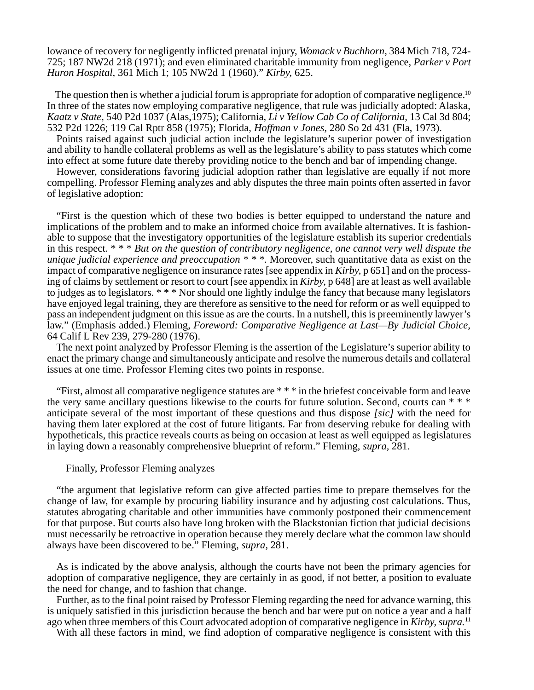lowance of recovery for negligently inflicted prenatal injury, *Womack v Buchhorn,* 384 Mich 718, 724- 725; 187 NW2d 218 (1971); and even eliminated charitable immunity from negligence, *Parker v Port Huron Hospital,* 361 Mich 1; 105 NW2d 1 (1960)." *Kirby,* 625.

The question then is whether a judicial forum is appropriate for adoption of comparative negligence.<sup>10</sup> In three of the states now employing comparative negligence, that rule was judicially adopted: Alaska, *Kaatz v State,* 540 P2d 1037 (Alas,1975); California, *Li v Yellow Cab Co of California,* 13 Cal 3d 804; 532 P2d 1226; 119 Cal Rptr 858 (1975); Florida, *Hoffman v Jones,* 280 So 2d 431 (Fla, 1973).

Points raised against such judicial action include the legislature's superior power of investigation and ability to handle collateral problems as well as the legislature's ability to pass statutes which come into effect at some future date thereby providing notice to the bench and bar of impending change.

However, considerations favoring judicial adoption rather than legislative are equally if not more compelling. Professor Fleming analyzes and ably disputes the three main points often asserted in favor of legislative adoption:

"First is the question which of these two bodies is better equipped to understand the nature and implications of the problem and to make an informed choice from available alternatives. It is fashionable to suppose that the investigatory opportunities of the legislature establish its superior credentials in this respect. \* \* \* *But on the question of contributory negligence, one cannot very well dispute the unique judicial experience and preoccupation \* \* \*.* Moreover, such quantitative data as exist on the impact of comparative negligence on insurance rates [see appendix in *Kirby,* p 651] and on the processing of claims by settlement or resort to court [see appendix in *Kirby,* p 648] are at least as well available to judges as to legislators. \* \* \* Nor should one lightly indulge the fancy that because many legislators have enjoyed legal training, they are therefore as sensitive to the need for reform or as well equipped to pass an independent judgment on this issue as are the courts. In a nutshell, this is preeminently lawyer's law." (Emphasis added.) Fleming, *Foreword: Comparative Negligence at Last—By Judicial Choice,* 64 Calif L Rev 239, 279-280 (1976).

The next point analyzed by Professor Fleming is the assertion of the Legislature's superior ability to enact the primary change and simultaneously anticipate and resolve the numerous details and collateral issues at one time. Professor Fleming cites two points in response.

"First, almost all comparative negligence statutes are \* \* \* in the briefest conceivable form and leave the very same ancillary questions likewise to the courts for future solution. Second, courts can \* \* \* anticipate several of the most important of these questions and thus dispose *[sic]* with the need for having them later explored at the cost of future litigants. Far from deserving rebuke for dealing with hypotheticals, this practice reveals courts as being on occasion at least as well equipped as legislatures in laying down a reasonably comprehensive blueprint of reform." Fleming, *supra,* 281.

### Finally, Professor Fleming analyzes

"the argument that legislative reform can give affected parties time to prepare themselves for the change of law, for example by procuring liability insurance and by adjusting cost calculations. Thus, statutes abrogating charitable and other immunities have commonly postponed their commencement for that purpose. But courts also have long broken with the Blackstonian fiction that judicial decisions must necessarily be retroactive in operation because they merely declare what the common law should always have been discovered to be." Fleming, *supra,* 281.

As is indicated by the above analysis, although the courts have not been the primary agencies for adoption of comparative negligence, they are certainly in as good, if not better, a position to evaluate the need for change, and to fashion that change.

Further, as to the final point raised by Professor Fleming regarding the need for advance warning, this is uniquely satisfied in this jurisdiction because the bench and bar were put on notice a year and a half ago when three members of this Court advocated adoption of comparative negligence in *Kirby, supra.*<sup>11</sup>

With all these factors in mind, we find adoption of comparative negligence is consistent with this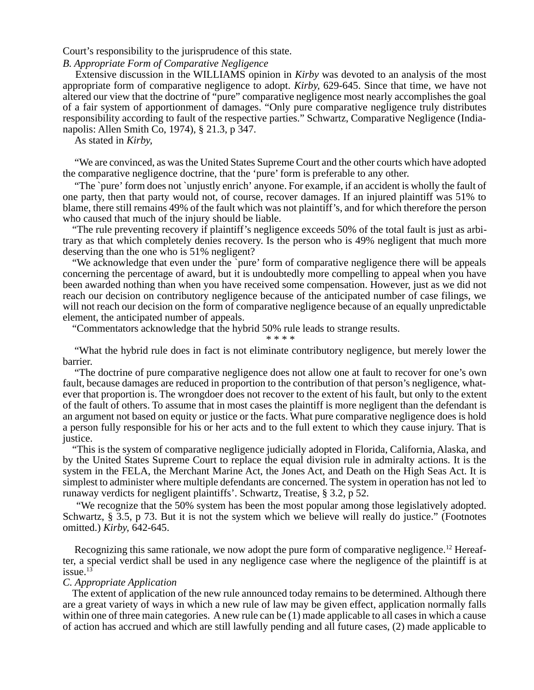Court's responsibility to the jurisprudence of this state.

### *B. Appropriate Form of Comparative Negligence*

Extensive discussion in the WILLIAMS opinion in *Kirby* was devoted to an analysis of the most appropriate form of comparative negligence to adopt. *Kirby,* 629-645. Since that time, we have not altered our view that the doctrine of "pure" comparative negligence most nearly accomplishes the goal of a fair system of apportionment of damages. "Only pure comparative negligence truly distributes responsibility according to fault of the respective parties." Schwartz, Comparative Negligence (Indianapolis: Allen Smith Co, 1974), § 21.3, p 347.

As stated in *Kirby,*

"We are convinced, as was the United States Supreme Court and the other courts which have adopted the comparative negligence doctrine, that the 'pure' form is preferable to any other.

"The `pure' form does not `unjustly enrich' anyone. For example, if an accident is wholly the fault of one party, then that party would not, of course, recover damages. If an injured plaintiff was 51% to blame, there still remains 49% of the fault which was not plaintiff's, and for which therefore the person who caused that much of the injury should be liable.

"The rule preventing recovery if plaintiff's negligence exceeds 50% of the total fault is just as arbitrary as that which completely denies recovery. Is the person who is 49% negligent that much more deserving than the one who is 51% negligent?

"We acknowledge that even under the `pure' form of comparative negligence there will be appeals concerning the percentage of award, but it is undoubtedly more compelling to appeal when you have been awarded nothing than when you have received some compensation. However, just as we did not reach our decision on contributory negligence because of the anticipated number of case filings, we will not reach our decision on the form of comparative negligence because of an equally unpredictable element, the anticipated number of appeals.

"Commentators acknowledge that the hybrid 50% rule leads to strange results.

\* \* \* \*

"What the hybrid rule does in fact is not eliminate contributory negligence, but merely lower the barrier.

"The doctrine of pure comparative negligence does not allow one at fault to recover for one's own fault, because damages are reduced in proportion to the contribution of that person's negligence, whatever that proportion is. The wrongdoer does not recover to the extent of his fault, but only to the extent of the fault of others. To assume that in most cases the plaintiff is more negligent than the defendant is an argument not based on equity or justice or the facts. What pure comparative negligence does is hold a person fully responsible for his or her acts and to the full extent to which they cause injury. That is justice.

"This is the system of comparative negligence judicially adopted in Florida, California, Alaska, and by the United States Supreme Court to replace the equal division rule in admiralty actions. It is the system in the FELA, the Merchant Marine Act, the Jones Act, and Death on the High Seas Act. It is simplest to administer where multiple defendants are concerned. The system in operation has not led ` to runaway verdicts for negligent plaintiffs'. Schwartz, Treatise, § 3.2, p 52.

 "We recognize that the 50% system has been the most popular among those legislatively adopted. Schwartz, § 3.5, p 73. But it is not the system which we believe will really do justice." (Footnotes omitted.) *Kirby,* 642-645.

Recognizing this same rationale, we now adopt the pure form of comparative negligence.<sup>12</sup> Hereafter, a special verdict shall be used in any negligence case where the negligence of the plaintiff is at issue. $13$ 

### *C. Appropriate Application*

The extent of application of the new rule announced today remains to be determined. Although there are a great variety of ways in which a new rule of law may be given effect, application normally falls within one of three main categories. A new rule can be (1) made applicable to all cases in which a cause of action has accrued and which are still lawfully pending and all future cases, (2) made applicable to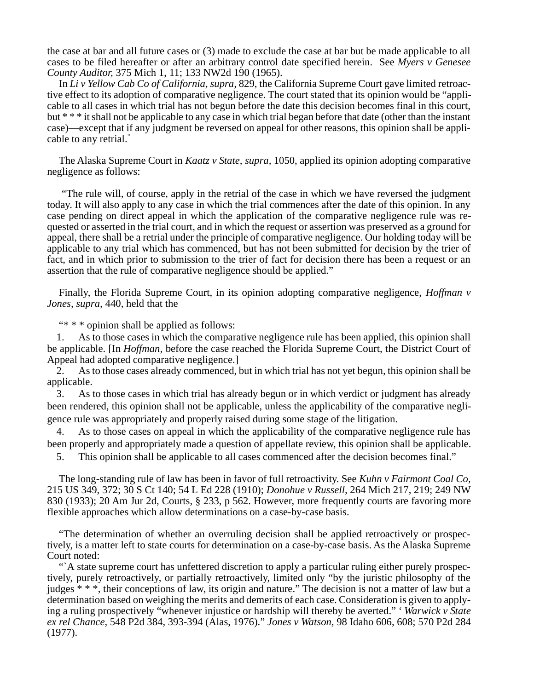the case at bar and all future cases or (3) made to exclude the case at bar but be made applicable to all cases to be filed hereafter or after an arbitrary control date specified herein. See *Myers v Genesee County Auditor,* 375 Mich 1, 11; 133 NW2d 190 (1965).

In *Li v Yellow Cab Co of California, supra,* 829, the California Supreme Court gave limited retroactive effect to its adoption of comparative negligence. The court stated that its opinion would be "applicable to all cases in which trial has not begun before the date this decision becomes final in this court, but \* \* \* it shall not be applicable to any case in which trial began before that date (other than the instant case)—except that if any judgment be reversed on appeal for other reasons, this opinion shall be applicable to any retrial."

The Alaska Supreme Court in *Kaatz v State, supra,* 1050, applied its opinion adopting comparative negligence as follows:

 "The rule will, of course, apply in the retrial of the case in which we have reversed the judgment today. It will also apply to any case in which the trial commences after the date of this opinion. In any case pending on direct appeal in which the application of the comparative negligence rule was requested or asserted in the trial court, and in which the request or assertion was preserved as a ground for appeal, there shall be a retrial under the principle of comparative negligence. Our holding today will be applicable to any trial which has commenced, but has not been submitted for decision by the trier of fact, and in which prior to submission to the trier of fact for decision there has been a request or an assertion that the rule of comparative negligence should be applied."

Finally, the Florida Supreme Court, in its opinion adopting comparative negligence, *Hoffman v Jones, supra,* 440, held that the

"\* \* \* opinion shall be applied as follows:

1. As to those cases in which the comparative negligence rule has been applied, this opinion shall be applicable. [In *Hoffman,* before the case reached the Florida Supreme Court, the District Court of Appeal had adopted comparative negligence.]

2. As to those cases already commenced, but in which trial has not yet begun, this opinion shall be applicable.

3. As to those cases in which trial has already begun or in which verdict or judgment has already been rendered, this opinion shall not be applicable, unless the applicability of the comparative negligence rule was appropriately and properly raised during some stage of the litigation.

4. As to those cases on appeal in which the applicability of the comparative negligence rule has been properly and appropriately made a question of appellate review, this opinion shall be applicable.

5. This opinion shall be applicable to all cases commenced after the decision becomes final."

The long-standing rule of law has been in favor of full retroactivity. See *Kuhn v Fairmont Coal Co,* 215 US 349, 372; 30 S Ct 140; 54 L Ed 228 (1910); *Donohue v Russell,* 264 Mich 217, 219; 249 NW 830 (1933); 20 Am Jur 2d, Courts, § 233, p 562. However, more frequently courts are favoring more flexible approaches which allow determinations on a case-by-case basis.

"The determination of whether an overruling decision shall be applied retroactively or prospectively, is a matter left to state courts for determination on a case-by-case basis. As the Alaska Supreme Court noted:

"<sup>A</sup> state supreme court has unfettered discretion to apply a particular ruling either purely prospectively, purely retroactively, or partially retroactively, limited only "by the juristic philosophy of the judges \* \* \*, their conceptions of law, its origin and nature." The decision is not a matter of law but a determination based on weighing the merits and demerits of each case. Consideration is given to applying a ruling prospectively "whenever injustice or hardship will thereby be averted." ' *Warwick v State ex rel Chance,* 548 P2d 384, 393-394 (Alas, 1976)." *Jones v Watson,* 98 Idaho 606, 608; 570 P2d 284 (1977).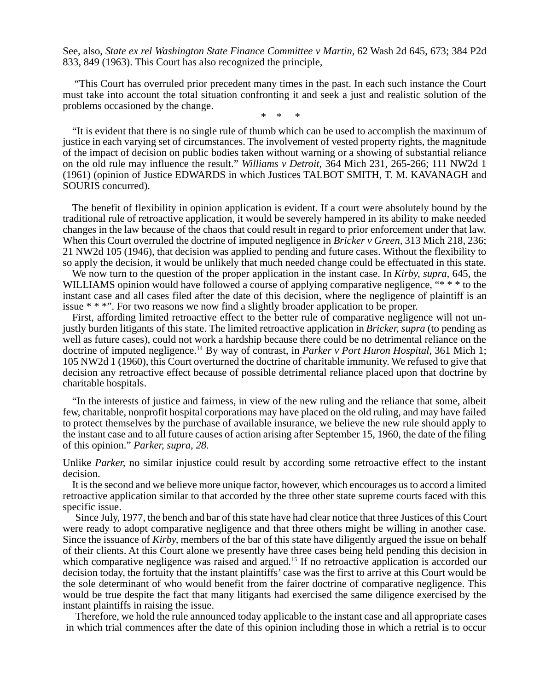See, also, *State ex rel Washington State Finance Committee v Martin,* 62 Wash 2d 645, 673; 384 P2d 833, 849 (1963). This Court has also recognized the principle,

"This Court has overruled prior precedent many times in the past. In each such instance the Court must take into account the total situation confronting it and seek a just and realistic solution of the problems occasioned by the change.

\* \* \*

"It is evident that there is no single rule of thumb which can be used to accomplish the maximum of justice in each varying set of circumstances. The involvement of vested property rights, the magnitude of the impact of decision on public bodies taken without warning or a showing of substantial reliance on the old rule may influence the result." *Williams v Detroit,* 364 Mich 231, 265-266; 111 NW2d 1 (1961) (opinion of Justice EDWARDS in which Justices TALBOT SMITH, T. M. KAVANAGH and SOURIS concurred).

The benefit of flexibility in opinion application is evident. If a court were absolutely bound by the traditional rule of retroactive application, it would be severely hampered in its ability to make needed changes in the law because of the chaos that could result in regard to prior enforcement under that law. When this Court overruled the doctrine of imputed negligence in *Bricker v Green,* 313 Mich 218, 236; 21 NW2d 105 (1946), that decision was applied to pending and future cases. Without the flexibility to so apply the decision, it would be unlikely that much needed change could be effectuated in this state.

We now turn to the question of the proper application in the instant case. In *Kirby, supra,* 645, the WILLIAMS opinion would have followed a course of applying comparative negligence, "\* \* \* to the instant case and all cases filed after the date of this decision, where the negligence of plaintiff is an issue \* \* \*". For two reasons we now find a slightly broader application to be proper.

First, affording limited retroactive effect to the better rule of comparative negligence will not unjustly burden litigants of this state. The limited retroactive application in *Bricker, supra* (to pending as well as future cases), could not work a hardship because there could be no detrimental reliance on the doctrine of imputed negligence.14 By way of contrast, in *Parker v Port Huron Hospital,* 361 Mich 1; 105 NW2d 1 (1960), this Court overturned the doctrine of charitable immunity. We refused to give that decision any retroactive effect because of possible detrimental reliance placed upon that doctrine by charitable hospitals.

"In the interests of justice and fairness, in view of the new ruling and the reliance that some, albeit few, charitable, nonprofit hospital corporations may have placed on the old ruling, and may have failed to protect themselves by the purchase of available insurance, we believe the new rule should apply to the instant case and to all future causes of action arising after September 15, 1960, the date of the filing of this opinion." *Parker, supra, 28.*

Unlike *Parker,* no similar injustice could result by according some retroactive effect to the instant decision.

It is the second and we believe more unique factor, however, which encourages us to accord a limited retroactive application similar to that accorded by the three other state supreme courts faced with this specific issue.

Since July, 1977, the bench and bar of this state have had clear notice that three Justices of this Court were ready to adopt comparative negligence and that three others might be willing in another case. Since the issuance of *Kirby,* members of the bar of this state have diligently argued the issue on behalf of their clients. At this Court alone we presently have three cases being held pending this decision in which comparative negligence was raised and argued.<sup>15</sup> If no retroactive application is accorded our decision today, the fortuity that the instant plaintiffs' case was the first to arrive at this Court would be the sole determinant of who would benefit from the fairer doctrine of comparative negligence. This would be true despite the fact that many litigants had exercised the same diligence exercised by the instant plaintiffs in raising the issue.

Therefore, we hold the rule announced today applicable to the instant case and all appropriate cases in which trial commences after the date of this opinion including those in which a retrial is to occur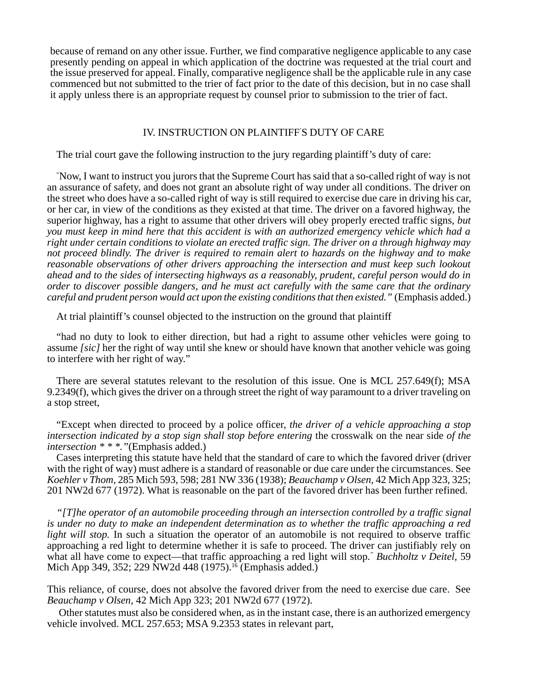because of remand on any other issue. Further, we find comparative negligence applicable to any case presently pending on appeal in which application of the doctrine was requested at the trial court and the issue preserved for appeal. Finally, comparative negligence shall be the applicable rule in any case commenced but not submitted to the trier of fact prior to the date of this decision, but in no case shall it apply unless there is an appropriate request by counsel prior to submission to the trier of fact.

### IV. INSTRUCTION ON PLAINTIFF' S DUTY OF CARE

The trial court gave the following instruction to the jury regarding plaintiff's duty of care:

" Now, I want to instruct you jurors that the Supreme Court has said that a so-called right of way is not an assurance of safety, and does not grant an absolute right of way under all conditions. The driver on the street who does have a so-called right of way is still required to exercise due care in driving his car, or her car, in view of the conditions as they existed at that time. The driver on a favored highway, the superior highway, has a right to assume that other drivers will obey properly erected traffic signs, *but you must keep in mind here that this accident is with an authorized emergency vehicle which had a right under certain conditions to violate an erected traffic sign. The driver on a through highway may not proceed blindly. The driver is required to remain alert to hazards on the highway and to make reasonable observations of other drivers approaching the intersection and must keep such lookout ahead and to the sides of intersecting highways as a reasonably, prudent, careful person would do in order to discover possible dangers, and he must act carefully with the same care that the ordinary careful and prudent person would act upon the existing conditions that then existed."* (Emphasis added.)

At trial plaintiff's counsel objected to the instruction on the ground that plaintiff

"had no duty to look to either direction, but had a right to assume other vehicles were going to assume *[sic]* her the right of way until she knew or should have known that another vehicle was going to interfere with her right of way."

There are several statutes relevant to the resolution of this issue. One is MCL 257.649(f); MSA 9.2349(f), which gives the driver on a through street the right of way paramount to a driver traveling on a stop street,

"Except when directed to proceed by a police officer, *the driver of a vehicle approaching a stop intersection indicated by a stop sign shall stop before entering* the crosswalk on the near side *of the intersection \* \* \*."*(Emphasis added.)

Cases interpreting this statute have held that the standard of care to which the favored driver (driver with the right of way) must adhere is a standard of reasonable or due care under the circumstances. See *Koehler v Thom,* 285 Mich 593, 598; 281 NW 336 (1938); *Beauchamp v Olsen,* 42 Mich App 323, 325; 201 NW2d 677 (1972). What is reasonable on the part of the favored driver has been further refined.

*"[T]he operator of an automobile proceeding through an intersection controlled by a traffic signal is under no duty to make an independent determination as to whether the traffic approaching a red light will stop.* In such a situation the operator of an automobile is not required to observe traffic approaching a red light to determine whether it is safe to proceed. The driver can justifiably rely on what all have come to expect—that traffic approaching a red light will stop.*" Buchholtz v Deitel,* 59 Mich App 349, 352; 229 NW2d 448 (1975).<sup>16</sup> (Emphasis added.)

This reliance, of course, does not absolve the favored driver from the need to exercise due care. See *Beauchamp v Olsen,* 42 Mich App 323; 201 NW2d 677 (1972).

Other statutes must also be considered when, as in the instant case, there is an authorized emergency vehicle involved. MCL 257.653; MSA 9.2353 states in relevant part,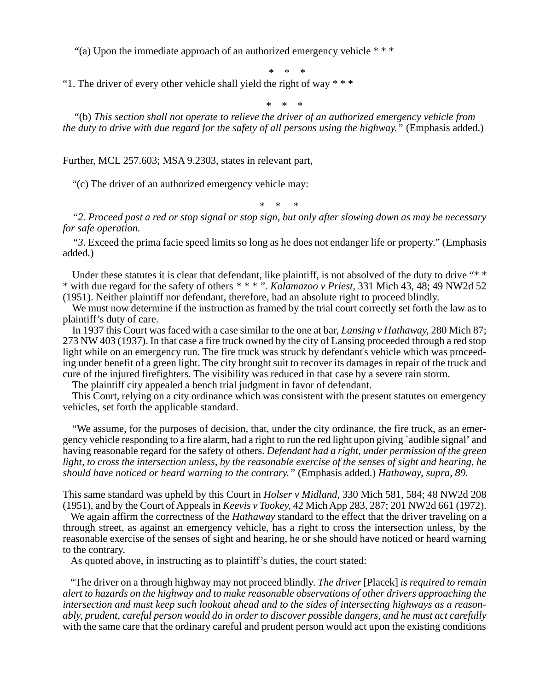"(a) Upon the immediate approach of an authorized emergency vehicle \* \* \*

\* \* \*

"1. The driver of every other vehicle shall yield the right of way  $* * *$ 

\* \* \*

"(b) *This section shall not operate to relieve the driver of an authorized emergency vehicle from the duty to drive with due regard for the safety of all persons using the highway.*" (Emphasis added.)

Further, MCL 257.603; MSA 9.2303, states in relevant part,

"(c) The driver of an authorized emergency vehicle may:

\* \* \*

*"2. Proceed past a red or stop signal or stop sign, but only after slowing down as may be necessary for safe operation.*

*"3.* Exceed the prima facie speed limits so long as he does not endanger life or property." (Emphasis added.)

Under these statutes it is clear that defendant, like plaintiff, is not absolved of the duty to drive "\* \* \* with due regard for the safety of others *\* \* \* ". Kalamazoo v Priest,* 331 Mich 43, 48; 49 NW2d 52 (1951). Neither plaintiff nor defendant, therefore, had an absolute right to proceed blindly.

We must now determine if the instruction as framed by the trial court correctly set forth the law as to plaintiff's duty of care.

In 1937 this Court was faced with a case similar to the one at bar, *Lansing v Hathaway,* 280 Mich 87; 273 NW 403 (1937). In that case a fire truck owned by the city of Lansing proceeded through a red stop light while on an emergency run. The fire truck was struck by defendant' s vehicle which was proceeding under benefit of a green light. The city brought suit to recover its damages in repair of the truck and cure of the injured firefighters. The visibility was reduced in that case by a severe rain storm.

The plaintiff city appealed a bench trial judgment in favor of defendant.

This Court, relying on a city ordinance which was consistent with the present statutes on emergency vehicles, set forth the applicable standard.

"We assume, for the purposes of decision, that, under the city ordinance, the fire truck, as an emergency vehicle responding to a fire alarm, had a right to run the red light upon giving `audible signal' and having reasonable regard for the safety of others. *Defendant had a right, under permission of the green light, to cross the intersection unless, by the reasonable exercise of the senses of sight and hearing, he should have noticed or heard warning to the contrary."* (Emphasis added.) *Hathaway, supra, 89.*

This same standard was upheld by this Court in *Holser v Midland,* 330 Mich 581, 584; 48 NW2d 208 (1951), and by the Court of Appeals in *Keevis v Tookey,* 42 Mich App 283, 287; 201 NW2d 661 (1972).

We again affirm the correctness of the *Hathaway* standard to the effect that the driver traveling on a through street, as against an emergency vehicle, has a right to cross the intersection unless, by the reasonable exercise of the senses of sight and hearing, he or she should have noticed or heard warning to the contrary.

As quoted above, in instructing as to plaintiff's duties, the court stated:

"The driver on a through highway may not proceed blindly. *The driver* [Placek] *is required to remain alert to hazards on the highway and to make reasonable observations of other drivers approaching the intersection and must keep such lookout ahead and to the sides of intersecting highways as a reasonably, prudent, careful person would do in order to discover possible dangers, and he must act carefully* with the same care that the ordinary careful and prudent person would act upon the existing conditions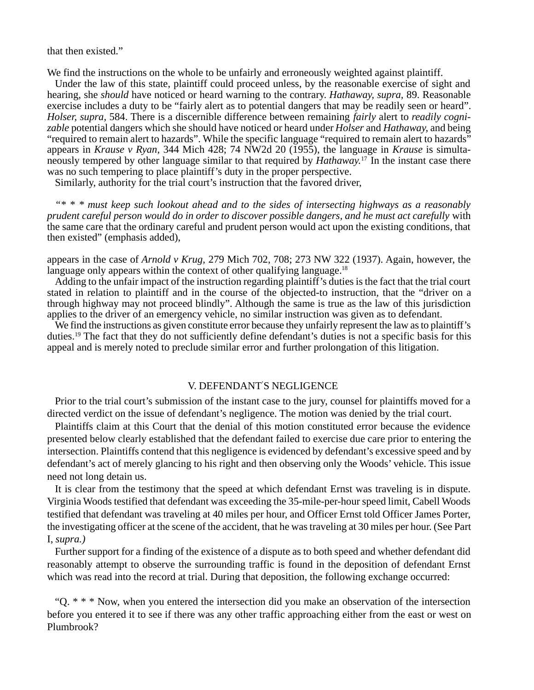that then existed."

We find the instructions on the whole to be unfairly and erroneously weighted against plaintiff.

Under the law of this state, plaintiff could proceed unless, by the reasonable exercise of sight and hearing, she *should* have noticed or heard warning to the contrary. *Hathaway, supra,* 89. Reasonable exercise includes a duty to be "fairly alert as to potential dangers that may be readily seen or heard". *Holser, supra,* 584. There is a discernible difference between remaining *fairly* alert to *readily cognizable* potential dangers which she should have noticed or heard under *Holser* and *Hathaway,* and being "required to remain alert to hazards". While the specific language "required to remain alert to hazards" appears in *Krause v Ryan,* 344 Mich 428; 74 NW2d 20 (1955), the language in *Krause* is simultaneously tempered by other language similar to that required by *Hathaway.*<sup>17</sup>In the instant case there was no such tempering to place plaintiff's duty in the proper perspective.

Similarly, authority for the trial court's instruction that the favored driver,

*"\* \* \* must keep such lookout ahead and to the sides of intersecting highways as a reasonably prudent careful person would do in order to discover possible dangers, and he must act carefully* with the same care that the ordinary careful and prudent person would act upon the existing conditions, that then existed" (emphasis added),

appears in the case of *Arnold v Krug,* 279 Mich 702, 708; 273 NW 322 (1937). Again, however, the language only appears within the context of other qualifying language.<sup>18</sup>

Adding to the unfair impact of the instruction regarding plaintiff's duties is the fact that the trial court stated in relation to plaintiff and in the course of the objected-to instruction, that the "driver on a through highway may not proceed blindly". Although the same is true as the law of this jurisdiction applies to the driver of an emergency vehicle, no similar instruction was given as to defendant.

We find the instructions as given constitute error because they unfairly represent the law as to plaintiff's duties.19 The fact that they do not sufficiently define defendant's duties is not a specific basis for this appeal and is merely noted to preclude similar error and further prolongation of this litigation.

### V. DEFENDANT' S NEGLIGENCE

Prior to the trial court's submission of the instant case to the jury, counsel for plaintiffs moved for a directed verdict on the issue of defendant's negligence. The motion was denied by the trial court.

Plaintiffs claim at this Court that the denial of this motion constituted error because the evidence presented below clearly established that the defendant failed to exercise due care prior to entering the intersection. Plaintiffs contend that this negligence is evidenced by defendant's excessive speed and by defendant's act of merely glancing to his right and then observing only the Woods' vehicle. This issue need not long detain us.

It is clear from the testimony that the speed at which defendant Ernst was traveling is in dispute. Virginia Woods testified that defendant was exceeding the 35-mile-per-hour speed limit, Cabell Woods testified that defendant was traveling at 40 miles per hour, and Officer Ernst told Officer James Porter, the investigating officer at the scene of the accident, that he was traveling at 30 miles per hour. (See Part I, *supra.)*

Further support for a finding of the existence of a dispute as to both speed and whether defendant did reasonably attempt to observe the surrounding traffic is found in the deposition of defendant Ernst which was read into the record at trial. During that deposition, the following exchange occurred:

"Q. \* \* \* Now, when you entered the intersection did you make an observation of the intersection before you entered it to see if there was any other traffic approaching either from the east or west on Plumbrook?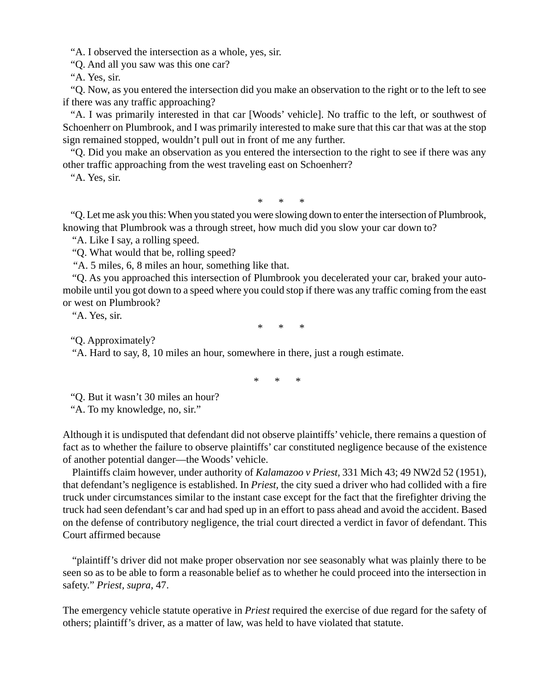"A. I observed the intersection as a whole, yes, sir.

"Q. And all you saw was this one car?

"A. Yes, sir.

"Q. Now, as you entered the intersection did you make an observation to the right or to the left to see if there was any traffic approaching?

"A. I was primarily interested in that car [Woods' vehicle]. No traffic to the left, or southwest of Schoenherr on Plumbrook, and I was primarily interested to make sure that this car that was at the stop sign remained stopped, wouldn't pull out in front of me any further.

"Q. Did you make an observation as you entered the intersection to the right to see if there was any other traffic approaching from the west traveling east on Schoenherr?

"A. Yes, sir.

\* \* \*

"Q. Let me ask you this: When you stated you were slowing down to enter the intersection of Plumbrook, knowing that Plumbrook was a through street, how much did you slow your car down to?

"A. Like I say, a rolling speed.

"Q. What would that be, rolling speed?

"A. 5 miles, 6, 8 miles an hour, something like that.

"Q. As you approached this intersection of Plumbrook you decelerated your car, braked your automobile until you got down to a speed where you could stop if there was any traffic coming from the east or west on Plumbrook?

"A. Yes, sir.

\* \* \*

"Q. Approximately?

"A. Hard to say, 8, 10 miles an hour, somewhere in there, just a rough estimate.

\* \* \*

"Q. But it wasn't 30 miles an hour?

"A. To my knowledge, no, sir."

Although it is undisputed that defendant did not observe plaintiffs' vehicle, there remains a question of fact as to whether the failure to observe plaintiffs' car constituted negligence because of the existence of another potential danger—the Woods' vehicle.

Plaintiffs claim however, under authority of *Kalamazoo v Priest,* 331 Mich 43; 49 NW2d 52 (1951), that defendant's negligence is established. In *Priest,* the city sued a driver who had collided with a fire truck under circumstances similar to the instant case except for the fact that the firefighter driving the truck had seen defendant's car and had sped up in an effort to pass ahead and avoid the accident. Based on the defense of contributory negligence, the trial court directed a verdict in favor of defendant. This Court affirmed because

"plaintiff's driver did not make proper observation nor see seasonably what was plainly there to be seen so as to be able to form a reasonable belief as to whether he could proceed into the intersection in safety." *Priest, supra,* 47.

The emergency vehicle statute operative in *Priest* required the exercise of due regard for the safety of others; plaintiff's driver, as a matter of law, was held to have violated that statute.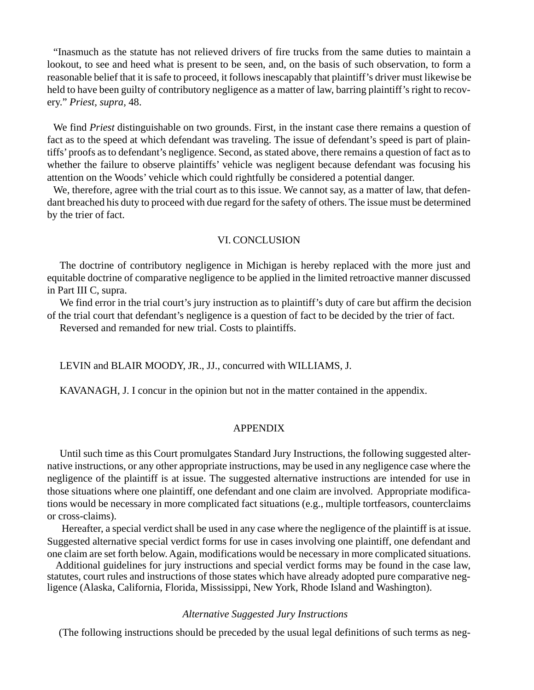"Inasmuch as the statute has not relieved drivers of fire trucks from the same duties to maintain a lookout, to see and heed what is present to be seen, and, on the basis of such observation, to form a reasonable belief that it is safe to proceed, it follows inescapably that plaintiff's driver must likewise be held to have been guilty of contributory negligence as a matter of law, barring plaintiff's right to recovery." *Priest, supra,* 48.

We find *Priest* distinguishable on two grounds. First, in the instant case there remains a question of fact as to the speed at which defendant was traveling. The issue of defendant's speed is part of plaintiffs' proofs as to defendant's negligence. Second, as stated above, there remains a question of fact as to whether the failure to observe plaintiffs' vehicle was negligent because defendant was focusing his attention on the Woods' vehicle which could rightfully be considered a potential danger.

We, therefore, agree with the trial court as to this issue. We cannot say, as a matter of law, that defendant breached his duty to proceed with due regard for the safety of others. The issue must be determined by the trier of fact.

### VI. CONCLUSION

The doctrine of contributory negligence in Michigan is hereby replaced with the more just and equitable doctrine of comparative negligence to be applied in the limited retroactive manner discussed in Part III C, supra.

We find error in the trial court's jury instruction as to plaintiff's duty of care but affirm the decision of the trial court that defendant's negligence is a question of fact to be decided by the trier of fact.

Reversed and remanded for new trial. Costs to plaintiffs.

LEVIN and BLAIR MOODY, JR., JJ., concurred with WILLIAMS, J.

KAVANAGH, J. I concur in the opinion but not in the matter contained in the appendix.

### APPENDIX

Until such time as this Court promulgates Standard Jury Instructions, the following suggested alternative instructions, or any other appropriate instructions, may be used in any negligence case where the negligence of the plaintiff is at issue. The suggested alternative instructions are intended for use in those situations where one plaintiff, one defendant and one claim are involved. Appropriate modifications would be necessary in more complicated fact situations (e.g., multiple tortfeasors, counterclaims or cross-claims).

 Hereafter, a special verdict shall be used in any case where the negligence of the plaintiff is at issue. Suggested alternative special verdict forms for use in cases involving one plaintiff, one defendant and one claim are set forth below. Again, modifications would be necessary in more complicated situations.

 Additional guidelines for jury instructions and special verdict forms may be found in the case law, statutes, court rules and instructions of those states which have already adopted pure comparative negligence (Alaska, California, Florida, Mississippi, New York, Rhode Island and Washington).

### *Alternative Suggested Jury Instructions*

(The following instructions should be preceded by the usual legal definitions of such terms as neg-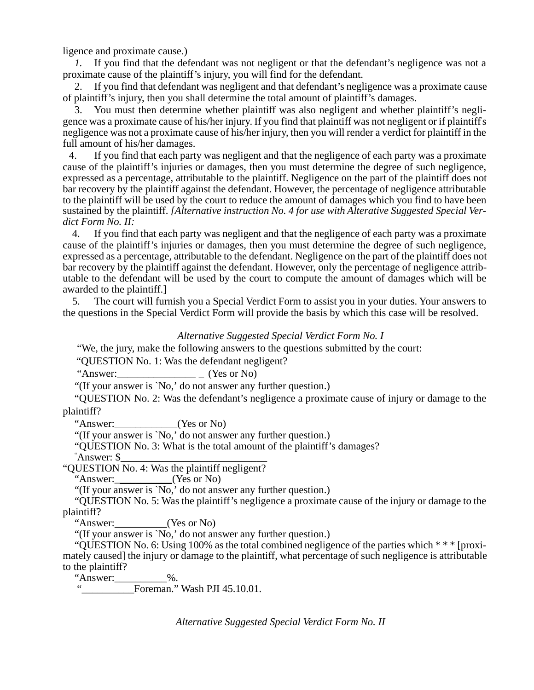ligence and proximate cause.)

*1.* If you find that the defendant was not negligent or that the defendant's negligence was not a proximate cause of the plaintiff's injury, you will find for the defendant.

2. If you find that defendant was negligent and that defendant's negligence was a proximate cause of plaintiff's injury, then you shall determine the total amount of plaintiff's damages.

3. You must then determine whether plaintiff was also negligent and whether plaintiff's negligence was a proximate cause of his/her injury. If you find that plaintiff was not negligent or if plaintiff' s negligence was not a proximate cause of his/her injury, then you will render a verdict for plaintiff in the full amount of his/her damages.

4. If you find that each party was negligent and that the negligence of each party was a proximate cause of the plaintiff's injuries or damages, then you must determine the degree of such negligence, expressed as a percentage, attributable to the plaintiff. Negligence on the part of the plaintiff does not bar recovery by the plaintiff against the defendant. However, the percentage of negligence attributable to the plaintiff will be used by the court to reduce the amount of damages which you find to have been sustained by the plaintiff. *[Alternative instruction No. 4 for use with Alterative Suggested Special Verdict Form No. II:*

4. If you find that each party was negligent and that the negligence of each party was a proximate cause of the plaintiff's injuries or damages, then you must determine the degree of such negligence, expressed as a percentage, attributable to the defendant. Negligence on the part of the plaintiff does not bar recovery by the plaintiff against the defendant. However, only the percentage of negligence attributable to the defendant will be used by the court to compute the amount of damages which will be awarded to the plaintiff.]

5. The court will furnish you a Special Verdict Form to assist you in your duties. Your answers to the questions in the Special Verdict Form will provide the basis by which this case will be resolved.

### *Alternative Suggested Special Verdict Form No. I*

"We, the jury, make the following answers to the questions submitted by the court:

"QUESTION No. 1: Was the defendant negligent?

"Answer: $\frac{1}{2}$  (Yes or No)

"(If your answer is `No,' do not answer any further question.)

"QUESTION No. 2: Was the defendant's negligence a proximate cause of injury or damage to the plaintiff?

"Answer:\_\_\_\_\_\_\_\_\_\_\_\_(Yes or No)

"(If your answer is `No,' do not answer any further question.)

"QUESTION No. 3: What is the total amount of the plaintiff's damages?

" Answer: \$\_\_\_\_\_\_\_\_\_\_\_\_\_\_\_\_\_\_\_\_\_\_\_\_\_\_\_\_

"QUESTION No. 4: Was the plaintiff negligent?<br>"Answer: (Yes or No)

"Answer: $\frac{M_{\text{max}}}{M_{\text{max}}}$ 

"(If your answer is `No,' do not answer any further question.)

"QUESTION No. 5: Was the plaintiff's negligence a proximate cause of the injury or damage to the plaintiff?

"Answer:\_\_\_\_\_\_\_\_\_\_(Yes or No)

"(If your answer is 'No,' do not answer any further question.)

"OUESTION No. 6: Using 100% as the total combined negligence of the parties which  $* * *$  [proximately caused] the injury or damage to the plaintiff, what percentage of such negligence is attributable to the plaintiff?

"Answer:\_\_\_\_\_\_\_\_\_\_%.

Foreman." Wash PJI 45.10.01.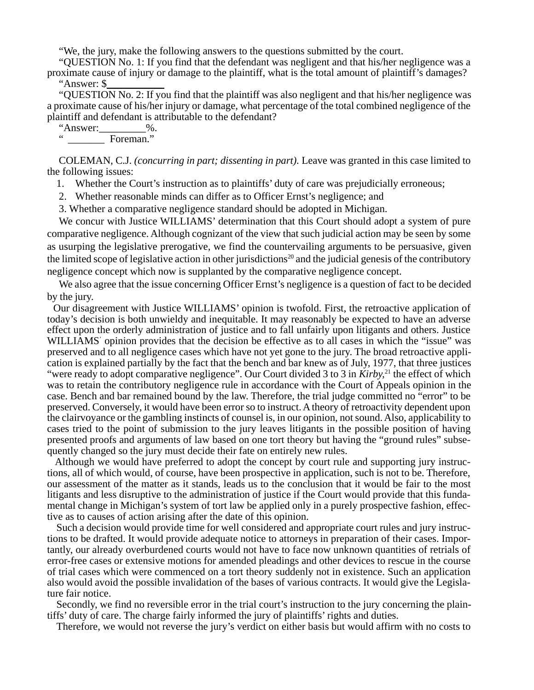"We, the jury, make the following answers to the questions submitted by the court.

"QUESTION No. 1: If you find that the defendant was negligent and that his/her negligence was a proximate cause of injury or damage to the plaintiff, what is the total amount of plaintiff's damages? "Answer: \$\_\_\_\_\_\_\_\_\_\_\_

"QUESTION No. 2: If you find that the plaintiff was also negligent and that his/her negligence was a proximate cause of his/her injury or damage, what percentage of the total combined negligence of the plaintiff and defendant is attributable to the defendant?

"Answer: $\underbrace{\hspace{1cm}}_{\text{Eeremen}}$ ".  $^-$  Foreman."

COLEMAN, C.J. *(concurring in part; dissenting in part).* Leave was granted in this case limited to the following issues:

- 1. Whether the Court's instruction as to plaintiffs' duty of care was prejudicially erroneous;
- 2. Whether reasonable minds can differ as to Officer Ernst's negligence; and
- 3. Whether a comparative negligence standard should be adopted in Michigan.

We concur with Justice WILLIAMS' determination that this Court should adopt a system of pure comparative negligence. Although cognizant of the view that such judicial action may be seen by some as usurping the legislative prerogative, we find the countervailing arguments to be persuasive, given the limited scope of legislative action in other jurisdictions<sup>20</sup> and the judicial genesis of the contributory negligence concept which now is supplanted by the comparative negligence concept.

We also agree that the issue concerning Officer Ernst's negligence is a question of fact to be decided by the jury.

Our disagreement with Justice WILLIAMS' opinion is twofold. First, the retroactive application of today's decision is both unwieldy and inequitable. It may reasonably be expected to have an adverse effect upon the orderly administration of justice and to fall unfairly upon litigants and others. Justice WILLIAMS' opinion provides that the decision be effective as to all cases in which the "issue" was preserved and to all negligence cases which have not yet gone to the jury. The broad retroactive application is explained partially by the fact that the bench and bar knew as of July, 1977, that three justices "were ready to adopt comparative negligence". Our Court divided 3 to 3 in *Kirby*,<sup>21</sup> the effect of which was to retain the contributory negligence rule in accordance with the Court of Appeals opinion in the case. Bench and bar remained bound by the law. Therefore, the trial judge committed no "error" to be preserved. Conversely, it would have been error so to instruct. A theory of retroactivity dependent upon the clairvoyance or the gambling instincts of counsel is, in our opinion, not sound. Also, applicability to cases tried to the point of submission to the jury leaves litigants in the possible position of having presented proofs and arguments of law based on one tort theory but having the "ground rules" subsequently changed so the jury must decide their fate on entirely new rules.

Although we would have preferred to adopt the concept by court rule and supporting jury instructions, all of which would, of course, have been prospective in application, such is not to be. Therefore, our assessment of the matter as it stands, leads us to the conclusion that it would be fair to the most litigants and less disruptive to the administration of justice if the Court would provide that this fundamental change in Michigan's system of tort law be applied only in a purely prospective fashion, effective as to causes of action arising after the date of this opinion.

Such a decision would provide time for well considered and appropriate court rules and jury instructions to be drafted. It would provide adequate notice to attorneys in preparation of their cases. Importantly, our already overburdened courts would not have to face now unknown quantities of retrials of error-free cases or extensive motions for amended pleadings and other devices to rescue in the course of trial cases which were commenced on a tort theory suddenly not in existence. Such an application also would avoid the possible invalidation of the bases of various contracts. It would give the Legislature fair notice.

Secondly, we find no reversible error in the trial court's instruction to the jury concerning the plaintiffs' duty of care. The charge fairly informed the jury of plaintiffs' rights and duties.

Therefore, we would not reverse the jury's verdict on either basis but would affirm with no costs to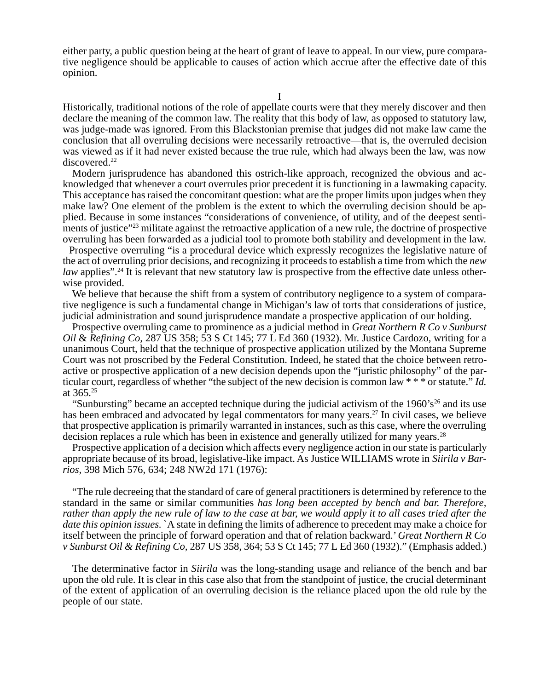either party, a public question being at the heart of grant of leave to appeal. In our view, pure comparative negligence should be applicable to causes of action which accrue after the effective date of this opinion.

Historically, traditional notions of the role of appellate courts were that they merely discover and then declare the meaning of the common law. The reality that this body of law, as opposed to statutory law, was judge-made was ignored. From this Blackstonian premise that judges did not make law came the conclusion that all overruling decisions were necessarily retroactive—that is, the overruled decision was viewed as if it had never existed because the true rule, which had always been the law, was now discovered.<sup>22</sup>

Modern jurisprudence has abandoned this ostrich-like approach, recognized the obvious and acknowledged that whenever a court overrules prior precedent it is functioning in a lawmaking capacity. This acceptance has raised the concomitant question: what are the proper limits upon judges when they make law? One element of the problem is the extent to which the overruling decision should be applied. Because in some instances "considerations of convenience, of utility, and of the deepest sentiments of justice"<sup>23</sup> militate against the retroactive application of a new rule, the doctrine of prospective overruling has been forwarded as a judicial tool to promote both stability and development in the law.

Prospective overruling "is a procedural device which expressly recognizes the legislative nature of the act of overruling prior decisions, and recognizing it proceeds to establish a time from which the *new law* applies".<sup>24</sup> It is relevant that new statutory law is prospective from the effective date unless otherwise provided.

We believe that because the shift from a system of contributory negligence to a system of comparative negligence is such a fundamental change in Michigan's law of torts that considerations of justice, judicial administration and sound jurisprudence mandate a prospective application of our holding.

Prospective overruling came to prominence as a judicial method in *Great Northern R Co v Sunburst Oil* & *Refining Co,* 287 US 358; 53 S Ct 145; 77 L Ed 360 (1932). Mr. Justice Cardozo, writing for a unanimous Court, held that the technique of prospective application utilized by the Montana Supreme Court was not proscribed by the Federal Constitution. Indeed, he stated that the choice between retroactive or prospective application of a new decision depends upon the "juristic philosophy" of the particular court, regardless of whether "the subject of the new decision is common law \* \* \* or statute." *Id.* at 365.25

"Sunbursting" became an accepted technique during the judicial activism of the 1960's<sup>26</sup> and its use has been embraced and advocated by legal commentators for many years.<sup>27</sup> In civil cases, we believe that prospective application is primarily warranted in instances, such as this case, where the overruling decision replaces a rule which has been in existence and generally utilized for many years.<sup>28</sup>

Prospective application of a decision which affects every negligence action in our state is particularly appropriate because of its broad, legislative-like impact. As Justice WILLIAMS wrote in *Siirila v Barrios,* 398 Mich 576, 634; 248 NW2d 171 (1976):

"The rule decreeing that the standard of care of general practitioners is determined by reference to the standard in the same or similar communities *has long been accepted by bench and bar. Therefore, rather than apply the new rule of law to the case at bar, we would apply it to all cases tried after the date this opinion issues.* `A state in defining the limits of adherence to precedent may make a choice for itself between the principle of forward operation and that of relation backward.' *Great Northern R Co v Sunburst Oil & Refining Co,* 287 US 358, 364; 53 S Ct 145; 77 L Ed 360 (1932)." (Emphasis added.)

The determinative factor in *Siirila* was the long-standing usage and reliance of the bench and bar upon the old rule. It is clear in this case also that from the standpoint of justice, the crucial determinant of the extent of application of an overruling decision is the reliance placed upon the old rule by the people of our state.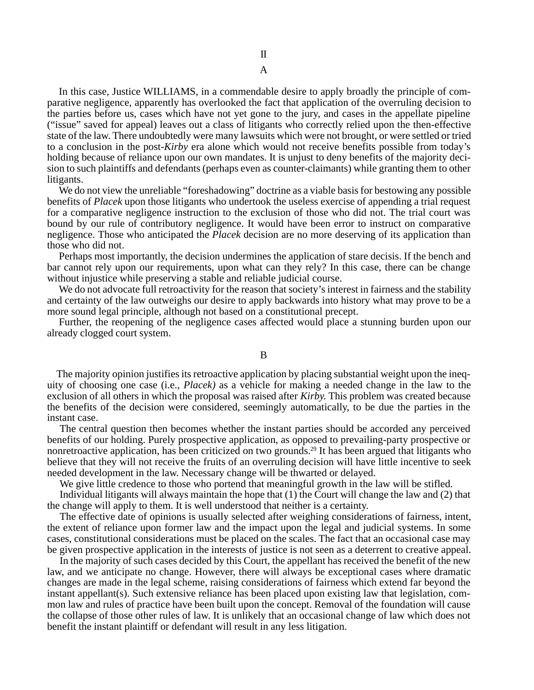A

In this case, Justice WILLIAMS, in a commendable desire to apply broadly the principle of comparative negligence, apparently has overlooked the fact that application of the overruling decision to the parties before us, cases which have not yet gone to the jury, and cases in the appellate pipeline ("issue" saved for appeal) leaves out a class of litigants who correctly relied upon the then-effective state of the law. There undoubtedly were many lawsuits which were not brought, or were settled or tried to a conclusion in the post-*Kirby* era alone which would not receive benefits possible from today's holding because of reliance upon our own mandates. It is unjust to deny benefits of the majority decision to such plaintiffs and defendants (perhaps even as counter-claimants) while granting them to other litigants.

We do not view the unreliable "foreshadowing" doctrine as a viable basis for bestowing any possible benefits of *Placek* upon those litigants who undertook the useless exercise of appending a trial request for a comparative negligence instruction to the exclusion of those who did not. The trial court was bound by our rule of contributory negligence. It would have been error to instruct on comparative negligence. Those who anticipated the *Placek* decision are no more deserving of its application than those who did not.

Perhaps most importantly, the decision undermines the application of stare decisis. If the bench and bar cannot rely upon our requirements, upon what can they rely? In this case, there can be change without injustice while preserving a stable and reliable judicial course.

We do not advocate full retroactivity for the reason that society's interest in fairness and the stability and certainty of the law outweighs our desire to apply backwards into history what may prove to be a more sound legal principle, although not based on a constitutional precept.

Further, the reopening of the negligence cases affected would place a stunning burden upon our already clogged court system.

B

The majority opinion justifies its retroactive application by placing substantial weight upon the inequity of choosing one case (i.e., *Placek)* as a vehicle for making a needed change in the law to the exclusion of all others in which the proposal was raised after *Kirby.* This problem was created because the benefits of the decision were considered, seemingly automatically, to be due the parties in the instant case.

The central question then becomes whether the instant parties should be accorded any perceived benefits of our holding. Purely prospective application, as opposed to prevailing-party prospective or nonretroactive application, has been criticized on two grounds.29 It has been argued that litigants who believe that they will not receive the fruits of an overruling decision will have little incentive to seek needed development in the law. Necessary change will be thwarted or delayed.

We give little credence to those who portend that meaningful growth in the law will be stifled.

Individual litigants will always maintain the hope that (1) the Court will change the law and (2) that the change will apply to them. It is well understood that neither is a certainty.

The effective date of opinions is usually selected after weighing considerations of fairness, intent, the extent of reliance upon former law and the impact upon the legal and judicial systems. In some cases, constitutional considerations must be placed on the scales. The fact that an occasional case may be given prospective application in the interests of justice is not seen as a deterrent to creative appeal.

In the majority of such cases decided by this Court, the appellant has received the benefit of the new law, and we anticipate no change. However, there will always be exceptional cases where dramatic changes are made in the legal scheme, raising considerations of fairness which extend far beyond the instant appellant(s). Such extensive reliance has been placed upon existing law that legislation, common law and rules of practice have been built upon the concept. Removal of the foundation will cause the collapse of those other rules of law. It is unlikely that an occasional change of law which does not benefit the instant plaintiff or defendant will result in any less litigation.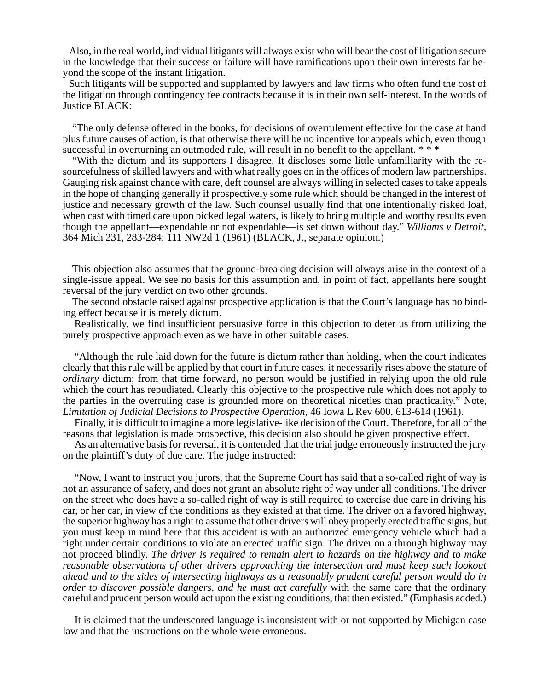Also, in the real world, individual litigants will always exist who will bear the cost of litigation secure in the knowledge that their success or failure will have ramifications upon their own interests far beyond the scope of the instant litigation.

Such litigants will be supported and supplanted by lawyers and law firms who often fund the cost of the litigation through contingency fee contracts because it is in their own self-interest. In the words of Justice BLACK:

"The only defense offered in the books, for decisions of overrulement effective for the case at hand plus future causes of action, is that otherwise there will be no incentive for appeals which, even though successful in overturning an outmoded rule, will result in no benefit to the appellant. \*\*\*

"With the dictum and its supporters I disagree. It discloses some little unfamiliarity with the resourcefulness of skilled lawyers and with what really goes on in the offices of modern law partnerships. Gauging risk against chance with care, deft counsel are always willing in selected cases to take appeals in the hope of changing generally if prospectively some rule which should be changed in the interest of justice and necessary growth of the law. Such counsel usually find that one intentionally risked loaf, when cast with timed care upon picked legal waters, is likely to bring multiple and worthy results even though the appellant—expendable or not expendable—is set down without day." *Williams v Detroit,* 364 Mich 231, 283-284; 111 NW2d 1 (1961) (BLACK, J., separate opinion.)

This objection also assumes that the ground-breaking decision will always arise in the context of a single-issue appeal. We see no basis for this assumption and, in point of fact, appellants here sought reversal of the jury verdict on two other grounds.

The second obstacle raised against prospective application is that the Court's language has no binding effect because it is merely dictum.

Realistically, we find insufficient persuasive force in this objection to deter us from utilizing the purely prospective approach even as we have in other suitable cases.

"Although the rule laid down for the future is dictum rather than holding, when the court indicates clearly that this rule will be applied by that court in future cases, it necessarily rises above the stature of *ordinary* dictum; from that time forward, no person would be justified in relying upon the old rule which the court has repudiated. Clearly this objective to the prospective rule which does not apply to the parties in the overruling case is grounded more on theoretical niceties than practicality." Note, *Limitation of Judicial Decisions to Prospective Operation,* 46 Iowa L Rev 600, 613-614 (1961).

Finally, it is difficult to imagine a more legislative-like decision of the Court. Therefore, for all of the reasons that legislation is made prospective, this decision also should be given prospective effect.

As an alternative basis for reversal, it is contended that the trial judge erroneously instructed the jury on the plaintiff's duty of due care. The judge instructed:

"Now, I want to instruct you jurors, that the Supreme Court has said that a so-called right of way is not an assurance of safety, and does not grant an absolute right of way under all conditions. The driver on the street who does have a so-called right of way is still required to exercise due care in driving his car, or her car, in view of the conditions as they existed at that time. The driver on a favored highway, the superior highway has a right to assume that other drivers will obey properly erected traffic signs, but you must keep in mind here that this accident is with an authorized emergency vehicle which had a right under certain conditions to violate an erected traffic sign. The driver on a through highway may not proceed blindly. *The driver is required to remain alert to hazards on the highway and to make reasonable observations of other drivers approaching the intersection and must keep such lookout ahead and to the sides of intersecting highways as a reasonably prudent careful person would do in order to discover possible dangers, and he must act carefully* with the same care that the ordinary careful and prudent person would act upon the existing conditions, that then existed." (Emphasis added.)

It is claimed that the underscored language is inconsistent with or not supported by Michigan case law and that the instructions on the whole were erroneous.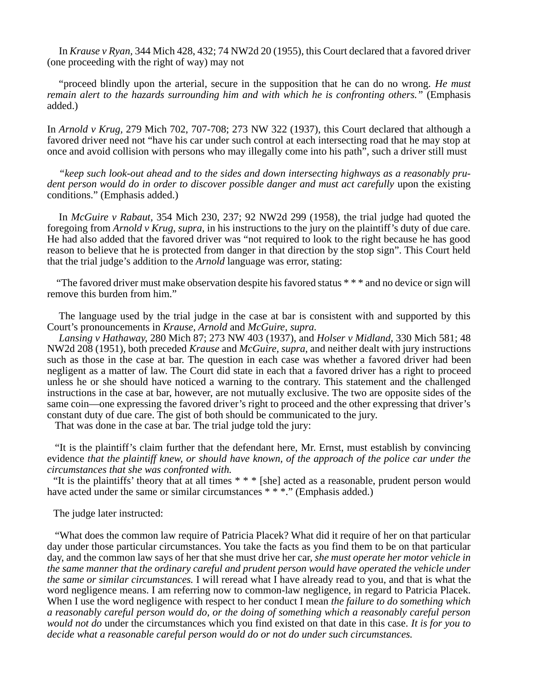In *Krause v Ryan,* 344 Mich 428, 432; 74 NW2d 20 (1955), this Court declared that a favored driver (one proceeding with the right of way) may not

"proceed blindly upon the arterial, secure in the supposition that he can do no wrong. *He must remain alert to the hazards surrounding him and with which he is confronting others."* (Emphasis added.)

In *Arnold v Krug,* 279 Mich 702, 707-708; 273 NW 322 (1937), this Court declared that although a favored driver need not "have his car under such control at each intersecting road that he may stop at once and avoid collision with persons who may illegally come into his path", such a driver still must

*"keep such look-out ahead and to the sides and down intersecting highways as a reasonably prudent person would do in order to discover possible danger and must act carefully upon the existing* conditions." (Emphasis added.)

In *McGuire v Rabaut,* 354 Mich 230, 237; 92 NW2d 299 (1958), the trial judge had quoted the foregoing from *Arnold v Krug, supra,* in his instructions to the jury on the plaintiff's duty of due care. He had also added that the favored driver was "not required to look to the right because he has good reason to believe that he is protected from danger in that direction by the stop sign". This Court held that the trial judge's addition to the *Arnold* language was error, stating:

"The favored driver must make observation despite his favored status \* \* \* and no device or sign will remove this burden from him."

The language used by the trial judge in the case at bar is consistent with and supported by this Court's pronouncements in *Krause, Arnold* and *McGuire, supra.*

*Lansing v Hathaway,* 280 Mich 87; 273 NW 403 (1937), and *Holser v Midland,* 330 Mich 581; 48 NW2d 208 (1951), both preceded *Krause* and *McGuire, supra,* and neither dealt with jury instructions such as those in the case at bar. The question in each case was whether a favored driver had been negligent as a matter of law. The Court did state in each that a favored driver has a right to proceed unless he or she should have noticed a warning to the contrary. This statement and the challenged instructions in the case at bar, however, are not mutually exclusive. The two are opposite sides of the same coin—one expressing the favored driver's right to proceed and the other expressing that driver's constant duty of due care. The gist of both should be communicated to the jury.

That was done in the case at bar. The trial judge told the jury:

"It is the plaintiff's claim further that the defendant here, Mr. Ernst, must establish by convincing evidence *that the plaintiff knew, or should have known, of the approach of the police car under the circumstances that she was confronted with.*

"It is the plaintiffs' theory that at all times \* \* \* [she] acted as a reasonable, prudent person would have acted under the same or similar circumstances \* \* \*." (Emphasis added.)

The judge later instructed:

"What does the common law require of Patricia Placek? What did it require of her on that particular day under those particular circumstances. You take the facts as you find them to be on that particular day, and the common law says of her that she must drive her car, *she must operate her motor vehicle in the same manner that the ordinary careful and prudent person would have operated the vehicle under the same or similar circumstances.* I will reread what I have already read to you, and that is what the word negligence means. I am referring now to common-law negligence, in regard to Patricia Placek. When I use the word negligence with respect to her conduct I mean *the failure to do something which a reasonably careful person would do, or the doing of something which a reasonably careful person would not do* under the circumstances which you find existed on that date in this case. *It is for you to decide what a reasonable careful person would do or not do under such circumstances.*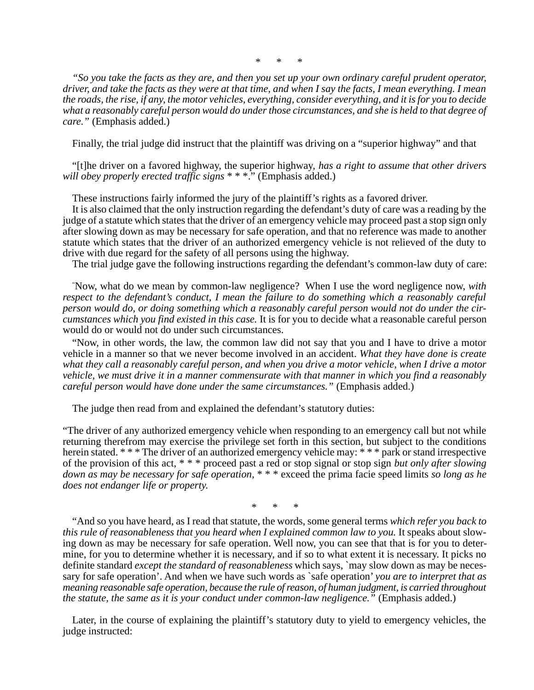*\* \* \**

*"So you take the facts as they are, and then you set up your own ordinary careful prudent operator, driver, and take the facts as they were at that time, and when I say the facts, I mean everything. I mean the roads, the rise, if any, the motor vehicles, everything, consider everything, and it is for you to decide what a reasonably careful person would do under those circumstances, and she is held to that degree of care."* (Emphasis added.)

Finally, the trial judge did instruct that the plaintiff was driving on a "superior highway" and that

"[t]he driver on a favored highway, the superior highway, *has a right to assume that other drivers will obey properly erected traffic signs* \* \* \*." (Emphasis added.)

These instructions fairly informed the jury of the plaintiff's rights as a favored driver.

It is also claimed that the only instruction regarding the defendant's duty of care was a reading by the judge of a statute which states that the driver of an emergency vehicle may proceed past a stop sign only after slowing down as may be necessary for safe operation, and that no reference was made to another statute which states that the driver of an authorized emergency vehicle is not relieved of the duty to drive with due regard for the safety of all persons using the highway.

The trial judge gave the following instructions regarding the defendant's common-law duty of care:

" Now, what do we mean by common-law negligence? When I use the word negligence now, *with respect to the defendant's conduct, I mean the failure to do something which a reasonably careful person would do, or doing something which a reasonably careful person would not do under the circumstances which you find existed in this case.* It is for you to decide what a reasonable careful person would do or would not do under such circumstances.

"Now, in other words, the law, the common law did not say that you and I have to drive a motor vehicle in a manner so that we never become involved in an accident. *What they have done is create what they call a reasonably careful person, and when you drive a motor vehicle, when I drive a motor vehicle, we must drive it in a manner commensurate with that manner in which you find a reasonably careful person would have done under the same circumstances."* (Emphasis added.)

The judge then read from and explained the defendant's statutory duties:

"The driver of any authorized emergency vehicle when responding to an emergency call but not while returning therefrom may exercise the privilege set forth in this section, but subject to the conditions herein stated. \* \* \* The driver of an authorized emergency vehicle may: \* \* \* park or stand irrespective of the provision of this act, \* \* \* proceed past a red or stop signal or stop sign *but only after slowing down as may be necessary for safe operation,* \* \* \* exceed the prima facie speed limits *so long as he does not endanger life or property.*

*\* \* \**

"And so you have heard, as I read that statute, the words, some general terms *which refer you back to this rule of reasonableness that you heard when I explained common law to you.* It speaks about slowing down as may be necessary for safe operation. Well now, you can see that that is for you to determine, for you to determine whether it is necessary, and if so to what extent it is necessary. It picks no definite standard *except the standard of reasonableness* which says, `may slow down as may be necessary for safe operation'. And when we have such words as `safe operation' *you are to interpret that as meaning reasonable safe operation, because the rule of reason, of human judgment, is carried throughout the statute, the same as it is your conduct under common-law negligence.*" (Emphasis added.)

Later, in the course of explaining the plaintiff's statutory duty to yield to emergency vehicles, the judge instructed: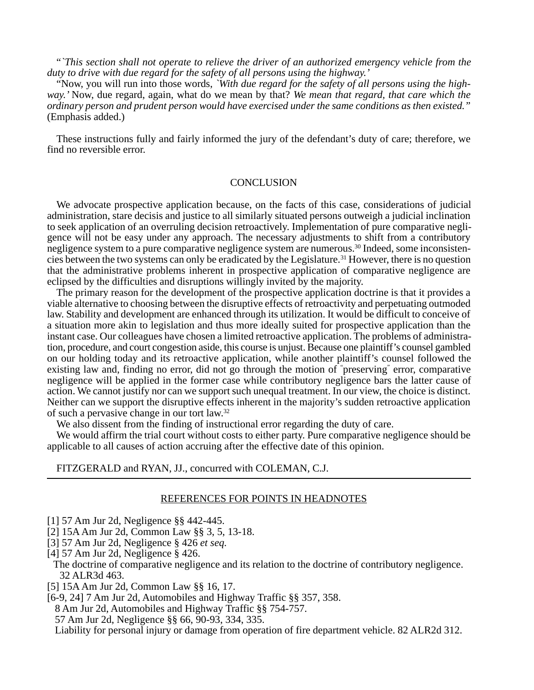"*`This section shall not operate to relieve the driver of an authorized emergency vehicle from the duty to drive with due regard for the safety of all persons using the highway.'*

"Now, you will run into those words, *`With due regard for the safety of all persons using the highway.'* Now, due regard, again, what do we mean by that? *We mean that regard, that care which the ordinary person and prudent person would have exercised under the same conditions as then existed."* (Emphasis added.)

These instructions fully and fairly informed the jury of the defendant's duty of care; therefore, we find no reversible error.

### **CONCLUSION**

We advocate prospective application because, on the facts of this case, considerations of judicial administration, stare decisis and justice to all similarly situated persons outweigh a judicial inclination to seek application of an overruling decision retroactively. Implementation of pure comparative negligence will not be easy under any approach. The necessary adjustments to shift from a contributory negligence system to a pure comparative negligence system are numerous.<sup>30</sup> Indeed, some inconsistencies between the two systems can only be eradicated by the Legislature.31 However, there is no question that the administrative problems inherent in prospective application of comparative negligence are eclipsed by the difficulties and disruptions willingly invited by the majority.

The primary reason for the development of the prospective application doctrine is that it provides a viable alternative to choosing between the disruptive effects of retroactivity and perpetuating outmoded law. Stability and development are enhanced through its utilization. It would be difficult to conceive of a situation more akin to legislation and thus more ideally suited for prospective application than the instant case. Our colleagues have chosen a limited retroactive application. The problems of administration, procedure, and court congestion aside, this course is unjust. Because one plaintiff's counsel gambled on our holding today and its retroactive application, while another plaintiff's counsel followed the existing law and, finding no error, did not go through the motion of " preserving" error, comparative negligence will be applied in the former case while contributory negligence bars the latter cause of action. We cannot justify nor can we support such unequal treatment. In our view, the choice is distinct. Neither can we support the disruptive effects inherent in the majority's sudden retroactive application of such a pervasive change in our tort law.32

We also dissent from the finding of instructional error regarding the duty of care.

We would affirm the trial court without costs to either party. Pure comparative negligence should be applicable to all causes of action accruing after the effective date of this opinion.

#### FITZGERALD and RYAN, JJ., concurred with COLEMAN, C.J.

#### REFERENCES FOR POINTS IN HEADNOTES

- [1] 57 Am Jur 2d, Negligence §§ 442-445.
- [2] 15A Am Jur 2d, Common Law §§ 3, 5, 13-18.
- [3] 57 Am Jur 2d, Negligence § 426 *et seq.*
- [4] 57 Am Jur 2d, Negligence § 426.
- The doctrine of comparative negligence and its relation to the doctrine of contributory negligence. 32 ALR3d 463.
- [5] 15A Am Jur 2d, Common Law §§ 16, 17.
- [6-9, 24] 7 Am Jur 2d, Automobiles and Highway Traffic §§ 357, 358.
- 8 Am Jur 2d, Automobiles and Highway Traffic §§ 754-757.
- 57 Am Jur 2d, Negligence §§ 66, 90-93, 334, 335.
- Liability for personal injury or damage from operation of fire department vehicle. 82 ALR2d 312.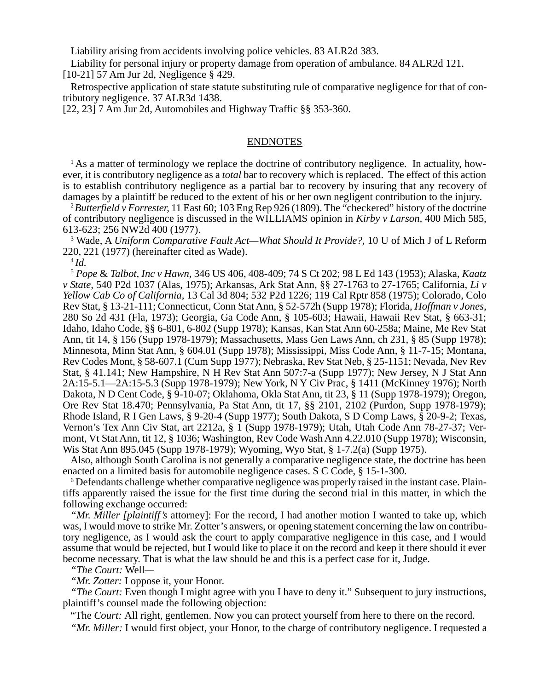Liability arising from accidents involving police vehicles. 83 ALR2d 383.

Liability for personal injury or property damage from operation of ambulance. 84 ALR2d 121. [10-21] 57 Am Jur 2d, Negligence § 429.

Retrospective application of state statute substituting rule of comparative negligence for that of contributory negligence. 37 ALR3d 1438.

[22, 23] 7 Am Jur 2d, Automobiles and Highway Traffic §§ 353-360.

### ENDNOTES

<sup>1</sup> As a matter of terminology we replace the doctrine of contributory negligence. In actuality, however, it is contributory negligence as a *total* bar to recovery which is replaced. The effect of this action is to establish contributory negligence as a partial bar to recovery by insuring that any recovery of damages by a plaintiff be reduced to the extent of his or her own negligent contribution to the injury.

<sup>2</sup>*Butterfield v Forrester,* 11 East 60; 103 Eng Rep 926 (1809). The "checkered" history of the doctrine of contributory negligence is discussed in the WILLIAMS opinion in *Kirby v Larson,* 400 Mich 585, 613-623; 256 NW2d 400 (1977).

<sup>3</sup> Wade, A *Uniform Comparative Fault Act—What Should It Provide?*, 10 U of Mich J of L Reform 220, 221 (1977) (hereinafter cited as Wade).

<sup>4</sup>*Id.*

<sup>5</sup> *Pope* & *Talbot, Inc v Hawn,* 346 US 406, 408-409; 74 S Ct 202; 98 L Ed 143 (1953); Alaska, *Kaatz v State,* 540 P2d 1037 (Alas, 1975); Arkansas, Ark Stat Ann, §§ 27-1763 to 27-1765; California, *Li v Yellow Cab Co of California,* 13 Cal 3d 804; 532 P2d 1226; 119 Cal Rptr 858 (1975); Colorado, Colo Rev Stat, § 13-21-111; Connecticut, Conn Stat Ann, § 52-572h (Supp 1978); Florida, *Hoffman v Jones,* 280 So 2d 431 (Fla, 1973); Georgia, Ga Code Ann, § 105-603; Hawaii, Hawaii Rev Stat, § 663-31; Idaho, Idaho Code, §§ 6-801, 6-802 (Supp 1978); Kansas, Kan Stat Ann 60-258a; Maine, Me Rev Stat Ann, tit 14, § 156 (Supp 1978-1979); Massachusetts, Mass Gen Laws Ann, ch 231, § 85 (Supp 1978); Minnesota, Minn Stat Ann, § 604.01 (Supp 1978); Mississippi, Miss Code Ann, § 11-7-15; Montana, Rev Codes Mont, § 58-607.1 (Cum Supp 1977); Nebraska, Rev Stat Neb, § 25-1151; Nevada, Nev Rev Stat, § 41.141; New Hampshire, N H Rev Stat Ann 507:7-a (Supp 1977); New Jersey, N J Stat Ann 2A:15-5.1—2A:15-5.3 (Supp 1978-1979); New York, N Y Civ Prac, § 1411 (McKinney 1976); North Dakota, N D Cent Code, § 9-10-07; Oklahoma, Okla Stat Ann, tit 23, § 11 (Supp 1978-1979); Oregon, Ore Rev Stat 18.470; Pennsylvania, Pa Stat Ann, tit 17, §§ 2101, 2102 (Purdon, Supp 1978-1979); Rhode Island, R I Gen Laws, § 9-20-4 (Supp 1977); South Dakota, S D Comp Laws, § 20-9-2; Texas, Vernon's Tex Ann Civ Stat, art 2212a, § 1 (Supp 1978-1979); Utah, Utah Code Ann 78-27-37; Vermont, Vt Stat Ann, tit 12, § 1036; Washington, Rev Code Wash Ann 4.22.010 (Supp 1978); Wisconsin, Wis Stat Ann 895.045 (Supp 1978-1979); Wyoming, Wyo Stat, § 1-7.2(a) (Supp 1975).

Also, although South Carolina is not generally a comparative negligence state, the doctrine has been enacted on a limited basis for automobile negligence cases. S C Code, § 15-1-300.

<sup>6</sup> Defendants challenge whether comparative negligence was properly raised in the instant case. Plaintiffs apparently raised the issue for the first time during the second trial in this matter, in which the following exchange occurred:

*"Mr. Miller [plaintiff's* attorney]: For the record, I had another motion I wanted to take up, which was, I would move to strike Mr. Zotter's answers, or opening statement concerning the law on contributory negligence, as I would ask the court to apply comparative negligence in this case, and I would assume that would be rejected, but I would like to place it on the record and keep it there should it ever become necessary. That is what the law should be and this is a perfect case for it, Judge.

"The Court: Well-

*"Mr. Zotter:* I oppose it, your Honor.

*The Court:* Even though I might agree with you I have to deny it." Subsequent to jury instructions, plaintiff's counsel made the following objection:

"The *Court:* All right, gentlemen. Now you can protect yourself from here to there on the record.

*"Mr. Miller:* I would first object, your Honor, to the charge of contributory negligence. I requested a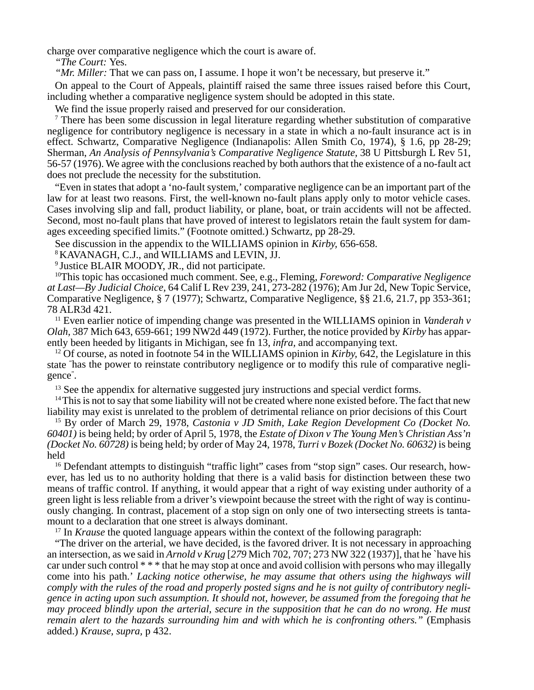charge over comparative negligence which the court is aware of.

*"The Court:* Yes.

*"Mr. Miller:* That we can pass on, I assume. I hope it won't be necessary, but preserve it."

On appeal to the Court of Appeals, plaintiff raised the same three issues raised before this Court, including whether a comparative negligence system should be adopted in this state.

We find the issue properly raised and preserved for our consideration.

<sup>7</sup> There has been some discussion in legal literature regarding whether substitution of comparative negligence for contributory negligence is necessary in a state in which a no-fault insurance act is in effect. Schwartz, Comparative Negligence (Indianapolis: Allen Smith Co, 1974), § 1.6, pp 28-29; Sherman, *An Analysis of Pennsylvania's Comparative Negligence Statute,* 38 U Pittsburgh L Rev 51, 56-57 (1976). We agree with the conclusions reached by both authors that the existence of a no-fault act does not preclude the necessity for the substitution.

"Even in states that adopt a 'no-fault system,' comparative negligence can be an important part of the law for at least two reasons. First, the well-known no-fault plans apply only to motor vehicle cases. Cases involving slip and fall, product liability, or plane, boat, or train accidents will not be affected. Second, most no-fault plans that have proved of interest to legislators retain the fault system for damages exceeding specified limits." (Footnote omitted.) Schwartz, pp 28-29.

See discussion in the appendix to the WILLIAMS opinion in *Kirby,* 656-658.

8 KAVANAGH, C.J., and WILLIAMS and LEVIN, JJ.

9 Justice BLAIR MOODY, JR., did not participate.

10This topic has occasioned much comment. See, e.g., Fleming, *Foreword: Comparative Negligence at Last—By Judicial Choice,* 64 Calif L Rev 239, 241, 273-282 (1976); Am Jur 2d, New Topic Service, Comparative Negligence, § 7 (1977); Schwartz, Comparative Negligence, §§ 21.6, 21.7, pp 353-361; 78 ALR3d 421.

11 Even earlier notice of impending change was presented in the WILLIAMS opinion in *Vanderah v Olah,* 387 Mich 643, 659-661; 199 NW2d 449 (1972). Further, the notice provided by *Kirby* has apparently been heeded by litigants in Michigan, see fn 13, *infra,* and accompanying text.

12 Of course, as noted in footnote 54 in the WILLIAMS opinion in *Kirby,* 642, the Legislature in this state " has the power to reinstate contributory negligence or to modify this rule of comparative negligence" .

<sup>13</sup> See the appendix for alternative suggested jury instructions and special verdict forms.

<sup>14</sup> This is not to say that some liability will not be created where none existed before. The fact that new liability may exist is unrelated to the problem of detrimental reliance on prior decisions of this Court

15 By order of March 29, 1978, *Castonia v JD Smith, Lake Region Development Co (Docket No. 60401)* is being held; by order of April 5, 1978, the *Estate of Dixon v The Young Men's Christian Ass'n (Docket No. 60728)* is being held; by order of May 24, 1978, *Turri v Bozek (Docket No. 60632)* is being held

16 Defendant attempts to distinguish "traffic light" cases from "stop sign" cases. Our research, however, has led us to no authority holding that there is a valid basis for distinction between these two means of traffic control. If anything, it would appear that a right of way existing under authority of a green light is less reliable from a driver's viewpoint because the street with the right of way is continuously changing. In contrast, placement of a stop sign on only one of two intersecting streets is tantamount to a declaration that one street is always dominant.

<sup>17</sup> In *Krause* the quoted language appears within the context of the following paragraph:

"The driver on the arterial, we have decided, is the favored driver. It is not necessary in approaching an intersection, as we said in *Arnold v Krug* [*279* Mich 702, 707; 273 NW 322 (1937)], that he `have his car under such control \* \* \* that he may stop at once and avoid collision with persons who may illegally come into his path.' *Lacking notice otherwise, he may assume that others using the highways will comply with the rules of the road and properly posted signs and he is not guilty of contributory negligence in acting upon such assumption. It should not, however, be assumed from the foregoing that he may proceed blindly upon the arterial, secure in the supposition that he can do no wrong. He must remain alert to the hazards surrounding him and with which he is confronting others."* (Emphasis added.) *Krause, supra,* p 432.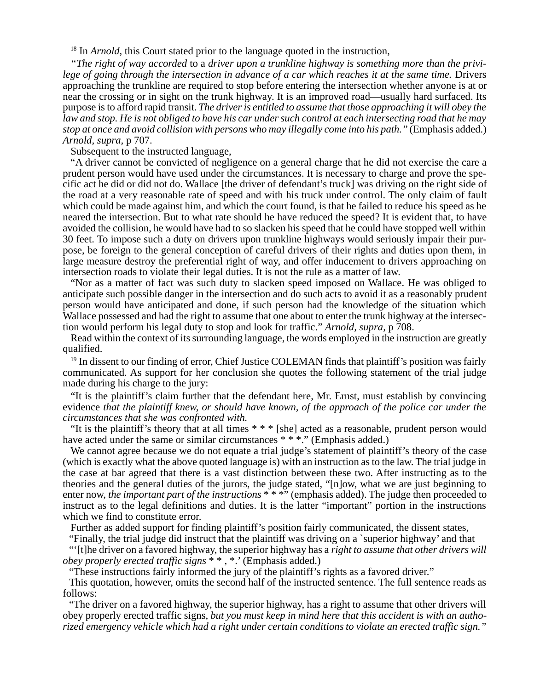<sup>18</sup> In *Arnold*, this Court stated prior to the language quoted in the instruction,

*"The right of way accorded* to a *driver upon a trunkline highway is something more than the privi*lege of going through the intersection in advance of a car which reaches it at the same time. Drivers approaching the trunkline are required to stop before entering the intersection whether anyone is at or near the crossing or in sight on the trunk highway. It is an improved road—usually hard surfaced. Its purpose is to afford rapid transit. *The driver is entitled to assume that those approaching it will obey the law and stop. He is not obliged to have his car under such control at each intersecting road that he may stop at once and avoid collision with persons who may illegally come into his path."* (Emphasis added.) *Arnold, supra,* p 707.

Subsequent to the instructed language,

"A driver cannot be convicted of negligence on a general charge that he did not exercise the care a prudent person would have used under the circumstances. It is necessary to charge and prove the specific act he did or did not do. Wallace [the driver of defendant's truck] was driving on the right side of the road at a very reasonable rate of speed and with his truck under control. The only claim of fault which could be made against him, and which the court found, is that he failed to reduce his speed as he neared the intersection. But to what rate should he have reduced the speed? It is evident that, to have avoided the collision, he would have had to so slacken his speed that he could have stopped well within 30 feet. To impose such a duty on drivers upon trunkline highways would seriously impair their purpose, be foreign to the general conception of careful drivers of their rights and duties upon them, in large measure destroy the preferential right of way, and offer inducement to drivers approaching on intersection roads to violate their legal duties. It is not the rule as a matter of law.

"Nor as a matter of fact was such duty to slacken speed imposed on Wallace. He was obliged to anticipate such possible danger in the intersection and do such acts to avoid it as a reasonably prudent person would have anticipated and done, if such person had the knowledge of the situation which Wallace possessed and had the right to assume that one about to enter the trunk highway at the intersection would perform his legal duty to stop and look for traffic." *Arnold, supra,* p 708.

Read within the context of its surrounding language, the words employed in the instruction are greatly qualified.

<sup>19</sup> In dissent to our finding of error, Chief Justice COLEMAN finds that plaintiff's position was fairly communicated. As support for her conclusion she quotes the following statement of the trial judge made during his charge to the jury:

"It is the plaintiff's claim further that the defendant here, Mr. Ernst, must establish by convincing evidence *that the plaintiff knew, or should have known, of the approach of the police car under the circumstances that she was confronted with.*

"It is the plaintiff's theory that at all times \* \* \* [she] acted as a reasonable, prudent person would have acted under the same or similar circumstances \* \* \*." (Emphasis added.)

We cannot agree because we do not equate a trial judge's statement of plaintiff's theory of the case (which is exactly what the above quoted language is) with an instruction as to the law. The trial judge in the case at bar agreed that there is a vast distinction between these two. After instructing as to the theories and the general duties of the jurors, the judge stated, "[n]ow, what we are just beginning to enter now, *the important part of the instructions*  $**$  <sup>\*\*</sup> (emphasis added). The judge then proceeded to instruct as to the legal definitions and duties. It is the latter "important" portion in the instructions which we find to constitute error.

Further as added support for finding plaintiff's position fairly communicated, the dissent states,

"Finally, the trial judge did instruct that the plaintiff was driving on a `superior highway' and that

"'[t]he driver on a favored highway, the superior highway has a *right to assume that other drivers will obey properly erected traffic signs* \* \* , \*.' (Emphasis added.)

"These instructions fairly informed the jury of the plaintiff's rights as a favored driver."

This quotation, however, omits the second half of the instructed sentence. The full sentence reads as follows:

"The driver on a favored highway, the superior highway, has a right to assume that other drivers will obey properly erected traffic signs, *but you must keep in mind here that this accident is with an authorized emergency vehicle which had a right under certain conditions to violate an erected traffic sign."*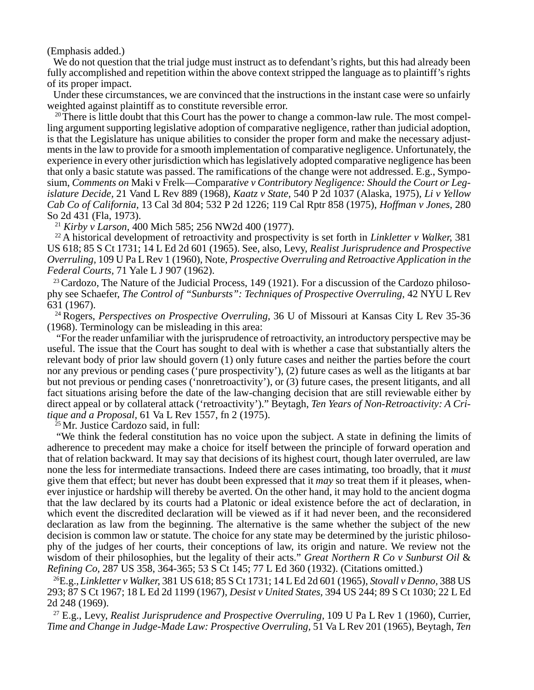(Emphasis added.)

We do not question that the trial judge must instruct as to defendant's rights, but this had already been fully accomplished and repetition within the above context stripped the language as to plaintiff's rights of its proper impact.

Under these circumstances, we are convinced that the instructions in the instant case were so unfairly weighted against plaintiff as to constitute reversible error.

<sup>20</sup> There is little doubt that this Court has the power to change a common-law rule. The most compelling argument supporting legislative adoption of comparative negligence, rather than judicial adoption, is that the Legislature has unique abilities to consider the proper form and make the necessary adjustments in the law to provide for a smooth implementation of comparative negligence. Unfortunately, the experience in every other jurisdiction which has legislatively adopted comparative negligence has been that only a basic statute was passed. The ramifications of the change were not addressed. E.g., Symposium, *Comments on* Maki v Frelk—Compara*tive v Contributory Negligence: Should the Court or Legislature Decide,* 21 Vand L Rev 889 (1968), *Kaatz v State,* 540 P 2d 1037 (Alaska, 1975), *Li v Yellow Cab Co of California,* 13 Cal 3d 804; 532 P 2d 1226; 119 Cal Rptr 858 (1975), *Hoffman v Jones,* 280 So 2d 431 (Fla, 1973).

<sup>21</sup> *Kirby v Larson*, 400 Mich 585; 256 NW2d 400 (1977).

22 A historical development of retroactivity and prospectivity is set forth in *Linkletter v Walker,* 381 US 618; 85 S Ct 1731; 14 L Ed 2d 601 (1965). See, also, Levy, *Realist Jurisprudence and Prospective Overruling,* 109 U Pa L Rev 1 (1960), Note, *Prospective Overruling and Retroactive Application in the Federal Courts,* 71 Yale L J 907 (1962).

<sup>23</sup> Cardozo, The Nature of the Judicial Process, 149 (1921). For a discussion of the Cardozo philosophy see Schaefer, *The Control of "Sunbursts": Techniques of Prospective Overruling*, 42 NYU L Rev 631 (1967).

24 Rogers, *Perspectives on Prospective Overruling,* 36 U of Missouri at Kansas City L Rev 35-36 (1968). Terminology can be misleading in this area:

"For the reader unfamiliar with the jurisprudence of retroactivity, an introductory perspective may be useful. The issue that the Court has sought to deal with is whether a case that substantially alters the relevant body of prior law should govern (1) only future cases and neither the parties before the court nor any previous or pending cases ('pure prospectivity'), (2) future cases as well as the litigants at bar but not previous or pending cases ('nonretroactivity'), or (3) future cases, the present litigants, and all fact situations arising before the date of the law-changing decision that are still reviewable either by direct appeal or by collateral attack ('retroactivity')." Beytagh, *Ten Years of Non-Retroactivity: A Critique and a Proposal,* 61 Va L Rev 1557, fn 2 (1975).

25 Mr. Justice Cardozo said, in full:

"We think the federal constitution has no voice upon the subject. A state in defining the limits of adherence to precedent may make a choice for itself between the principle of forward operation and that of relation backward. It may say that decisions of its highest court, though later overruled, are law none the less for intermediate transactions. Indeed there are cases intimating, too broadly, that it *must* give them that effect; but never has doubt been expressed that it *may* so treat them if it pleases, whenever injustice or hardship will thereby be averted. On the other hand, it may hold to the ancient dogma that the law declared by its courts had a Platonic or ideal existence before the act of declaration, in which event the discredited declaration will be viewed as if it had never been, and the reconsidered declaration as law from the beginning. The alternative is the same whether the subject of the new decision is common law or statute. The choice for any state may be determined by the juristic philosophy of the judges of her courts, their conceptions of law, its origin and nature. We review not the wisdom of their philosophies, but the legality of their acts." *Great Northern R Co v Sunburst Oil* & *Refining Co,* 287 US 358, 364-365; 53 S Ct 145; 77 L Ed 360 (1932). (Citations omitted.)

26E.g.,*Linkletter v Walker,* 381 US 618; 85 S Ct 1731; 14 L Ed 2d 601 (1965), *Stovall v Denno,* 388 US 293; 87 S Ct 1967; 18 L Ed 2d 1199 (1967), *Desist v United States,* 394 US 244; 89 S Ct 1030; 22 L Ed 2d 248 (1969).

27 E.g., Levy, *Realist Jurisprudence and Prospective Overruling,* 109 U Pa L Rev 1 (1960), Currier, *Time and Change in Judge-Made Law: Prospective Overruling,* 51 Va L Rev 201 (1965), Beytagh, *Ten*